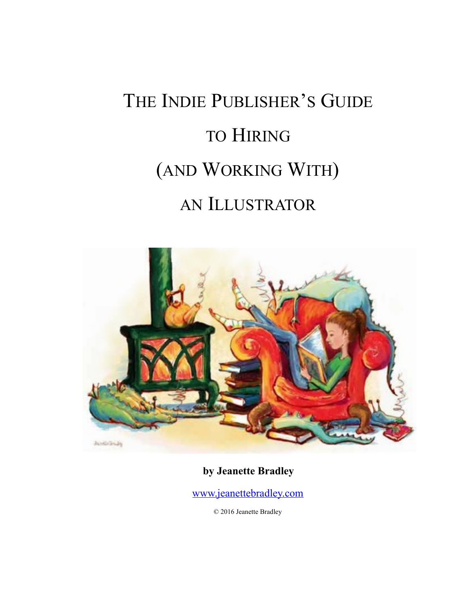# THE INDIE PUBLISHER'S GUIDE TO HIRING (AND WORKING WITH) AN ILLUSTRATOR



**by Jeanette Bradley** 

[www.jeanettebradley.com](http://www.jeanettebradley.com)

© 2016 Jeanette Bradley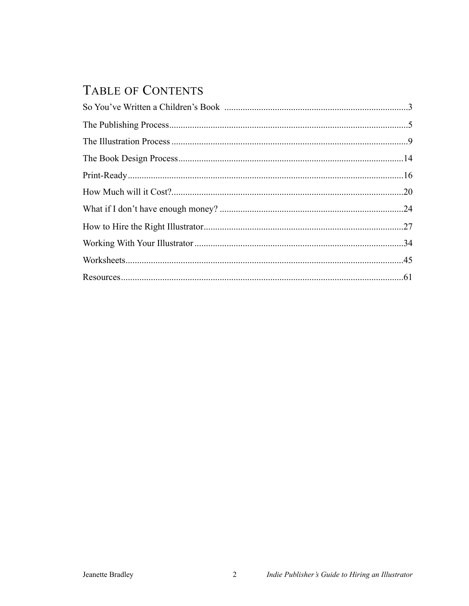# TABLE OF CONTENTS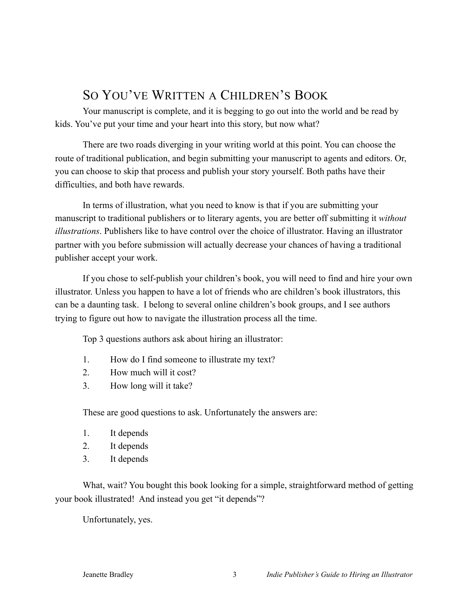# SO YOU'VE WRITTEN A CHILDREN'S BOOK

Your manuscript is complete, and it is begging to go out into the world and be read by kids. You've put your time and your heart into this story, but now what?

There are two roads diverging in your writing world at this point. You can choose the route of traditional publication, and begin submitting your manuscript to agents and editors. Or, you can choose to skip that process and publish your story yourself. Both paths have their difficulties, and both have rewards.

In terms of illustration, what you need to know is that if you are submitting your manuscript to traditional publishers or to literary agents, you are better off submitting it *without illustrations*. Publishers like to have control over the choice of illustrator. Having an illustrator partner with you before submission will actually decrease your chances of having a traditional publisher accept your work.

If you chose to self-publish your children's book, you will need to find and hire your own illustrator. Unless you happen to have a lot of friends who are children's book illustrators, this can be a daunting task. I belong to several online children's book groups, and I see authors trying to figure out how to navigate the illustration process all the time.

Top 3 questions authors ask about hiring an illustrator:

- 1. How do I find someone to illustrate my text?
- 2. How much will it cost?
- 3. How long will it take?

These are good questions to ask. Unfortunately the answers are:

- 1. It depends
- 2. It depends
- 3. It depends

What, wait? You bought this book looking for a simple, straightforward method of getting your book illustrated! And instead you get "it depends"?

Unfortunately, yes.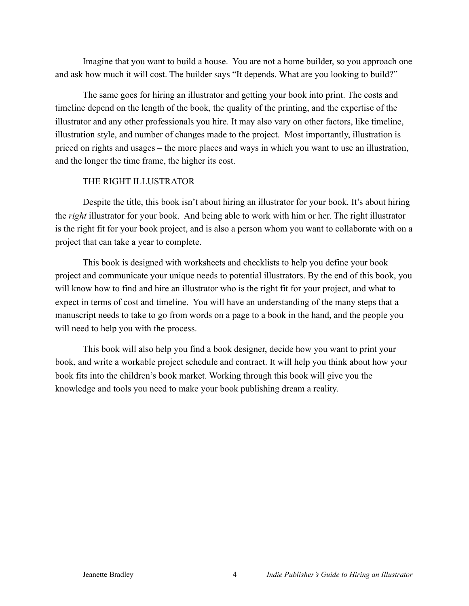Imagine that you want to build a house. You are not a home builder, so you approach one and ask how much it will cost. The builder says "It depends. What are you looking to build?"

The same goes for hiring an illustrator and getting your book into print. The costs and timeline depend on the length of the book, the quality of the printing, and the expertise of the illustrator and any other professionals you hire. It may also vary on other factors, like timeline, illustration style, and number of changes made to the project. Most importantly, illustration is priced on rights and usages – the more places and ways in which you want to use an illustration, and the longer the time frame, the higher its cost.

#### THE RIGHT ILLUSTRATOR

Despite the title, this book isn't about hiring an illustrator for your book. It's about hiring the *right* illustrator for your book. And being able to work with him or her. The right illustrator is the right fit for your book project, and is also a person whom you want to collaborate with on a project that can take a year to complete.

This book is designed with worksheets and checklists to help you define your book project and communicate your unique needs to potential illustrators. By the end of this book, you will know how to find and hire an illustrator who is the right fit for your project, and what to expect in terms of cost and timeline. You will have an understanding of the many steps that a manuscript needs to take to go from words on a page to a book in the hand, and the people you will need to help you with the process.

This book will also help you find a book designer, decide how you want to print your book, and write a workable project schedule and contract. It will help you think about how your book fits into the children's book market. Working through this book will give you the knowledge and tools you need to make your book publishing dream a reality.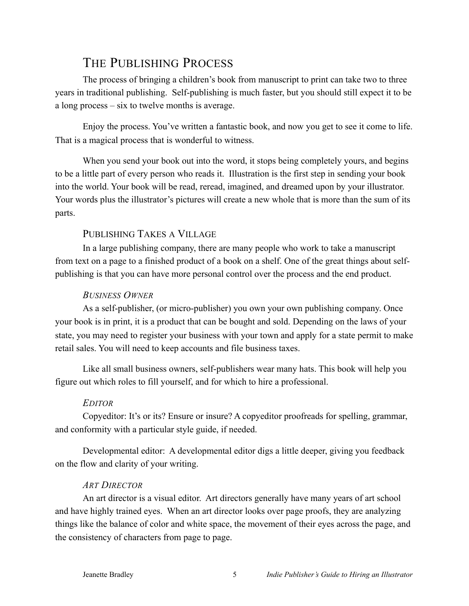# THE PUBLISHING PROCESS

The process of bringing a children's book from manuscript to print can take two to three years in traditional publishing. Self-publishing is much faster, but you should still expect it to be a long process – six to twelve months is average.

Enjoy the process. You've written a fantastic book, and now you get to see it come to life. That is a magical process that is wonderful to witness.

When you send your book out into the word, it stops being completely yours, and begins to be a little part of every person who reads it. Illustration is the first step in sending your book into the world. Your book will be read, reread, imagined, and dreamed upon by your illustrator. Your words plus the illustrator's pictures will create a new whole that is more than the sum of its parts.

# PUBLISHING TAKES A VILLAGE

In a large publishing company, there are many people who work to take a manuscript from text on a page to a finished product of a book on a shelf. One of the great things about selfpublishing is that you can have more personal control over the process and the end product.

# *BUSINESS OWNER*

As a self-publisher, (or micro-publisher) you own your own publishing company. Once your book is in print, it is a product that can be bought and sold. Depending on the laws of your state, you may need to register your business with your town and apply for a state permit to make retail sales. You will need to keep accounts and file business taxes.

Like all small business owners, self-publishers wear many hats. This book will help you figure out which roles to fill yourself, and for which to hire a professional.

# *EDITOR*

Copyeditor: It's or its? Ensure or insure? A copyeditor proofreads for spelling, grammar, and conformity with a particular style guide, if needed.

Developmental editor: A developmental editor digs a little deeper, giving you feedback on the flow and clarity of your writing.

# *ART DIRECTOR*

An art director is a visual editor. Art directors generally have many years of art school and have highly trained eyes. When an art director looks over page proofs, they are analyzing things like the balance of color and white space, the movement of their eyes across the page, and the consistency of characters from page to page.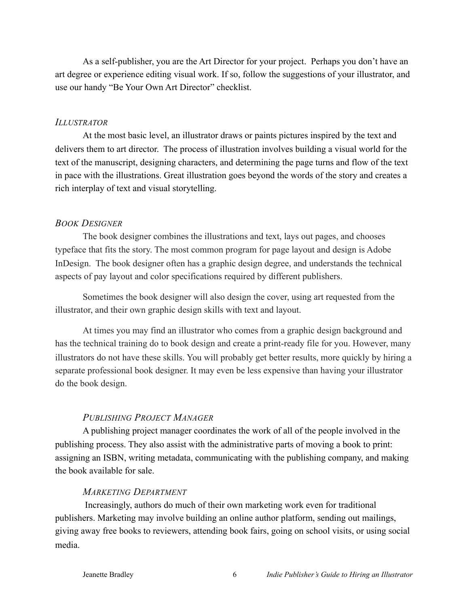As a self-publisher, you are the Art Director for your project. Perhaps you don't have an art degree or experience editing visual work. If so, follow the suggestions of your illustrator, and use our handy "Be Your Own Art Director" checklist.

#### *ILLUSTRATOR*

At the most basic level, an illustrator draws or paints pictures inspired by the text and delivers them to art director. The process of illustration involves building a visual world for the text of the manuscript, designing characters, and determining the page turns and flow of the text in pace with the illustrations. Great illustration goes beyond the words of the story and creates a rich interplay of text and visual storytelling.

#### *BOOK DESIGNER*

The book designer combines the illustrations and text, lays out pages, and chooses typeface that fits the story. The most common program for page layout and design is Adobe InDesign. The book designer often has a graphic design degree, and understands the technical aspects of pay layout and color specifications required by different publishers.

Sometimes the book designer will also design the cover, using art requested from the illustrator, and their own graphic design skills with text and layout.

At times you may find an illustrator who comes from a graphic design background and has the technical training do to book design and create a print-ready file for you. However, many illustrators do not have these skills. You will probably get better results, more quickly by hiring a separate professional book designer. It may even be less expensive than having your illustrator do the book design.

#### *PUBLISHING PROJECT MANAGER*

A publishing project manager coordinates the work of all of the people involved in the publishing process. They also assist with the administrative parts of moving a book to print: assigning an ISBN, writing metadata, communicating with the publishing company, and making the book available for sale.

#### *MARKETING DEPARTMENT*

 Increasingly, authors do much of their own marketing work even for traditional publishers. Marketing may involve building an online author platform, sending out mailings, giving away free books to reviewers, attending book fairs, going on school visits, or using social media.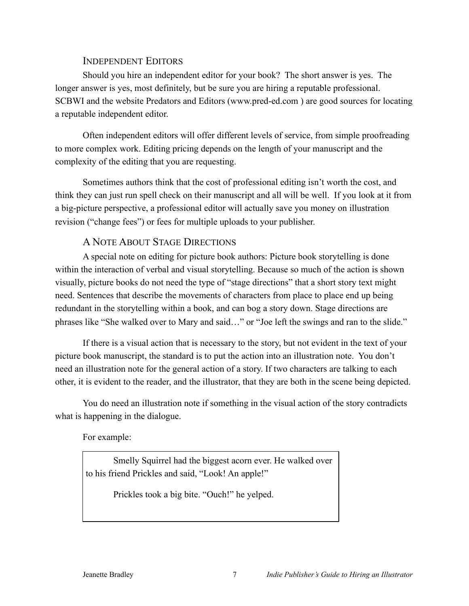#### INDEPENDENT EDITORS

Should you hire an independent editor for your book? The short answer is yes. The longer answer is yes, most definitely, but be sure you are hiring a reputable professional. SCBWI and the website Predators and Editors (www.pred-ed.com ) are good sources for locating a reputable independent editor.

Often independent editors will offer different levels of service, from simple proofreading to more complex work. Editing pricing depends on the length of your manuscript and the complexity of the editing that you are requesting.

Sometimes authors think that the cost of professional editing isn't worth the cost, and think they can just run spell check on their manuscript and all will be well. If you look at it from a big-picture perspective, a professional editor will actually save you money on illustration revision ("change fees") or fees for multiple uploads to your publisher.

## A NOTE ABOUT STAGE DIRECTIONS

A special note on editing for picture book authors: Picture book storytelling is done within the interaction of verbal and visual storytelling. Because so much of the action is shown visually, picture books do not need the type of "stage directions" that a short story text might need. Sentences that describe the movements of characters from place to place end up being redundant in the storytelling within a book, and can bog a story down. Stage directions are phrases like "She walked over to Mary and said…" or "Joe left the swings and ran to the slide."

If there is a visual action that is necessary to the story, but not evident in the text of your picture book manuscript, the standard is to put the action into an illustration note. You don't need an illustration note for the general action of a story. If two characters are talking to each other, it is evident to the reader, and the illustrator, that they are both in the scene being depicted.

You do need an illustration note if something in the visual action of the story contradicts what is happening in the dialogue.

For example:

Smelly Squirrel had the biggest acorn ever. He walked over to his friend Prickles and said, "Look! An apple!"

Prickles took a big bite. "Ouch!" he yelped.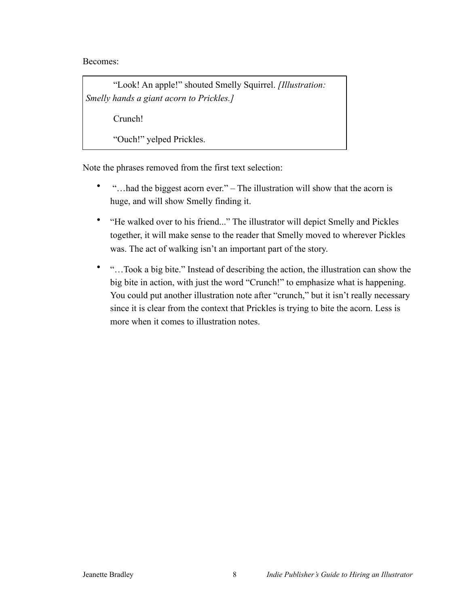Becomes:

"Look! An apple!" shouted Smelly Squirrel. *[Illustration: Smelly hands a giant acorn to Prickles.]*

Crunch!

"Ouch!" yelped Prickles.

Note the phrases removed from the first text selection:

- "…had the biggest acorn ever." The illustration will show that the acorn is huge, and will show Smelly finding it.
- "He walked over to his friend..." The illustrator will depict Smelly and Pickles together, it will make sense to the reader that Smelly moved to wherever Pickles was. The act of walking isn't an important part of the story.
- "…Took a big bite." Instead of describing the action, the illustration can show the big bite in action, with just the word "Crunch!" to emphasize what is happening. You could put another illustration note after "crunch," but it isn't really necessary since it is clear from the context that Prickles is trying to bite the acorn. Less is more when it comes to illustration notes.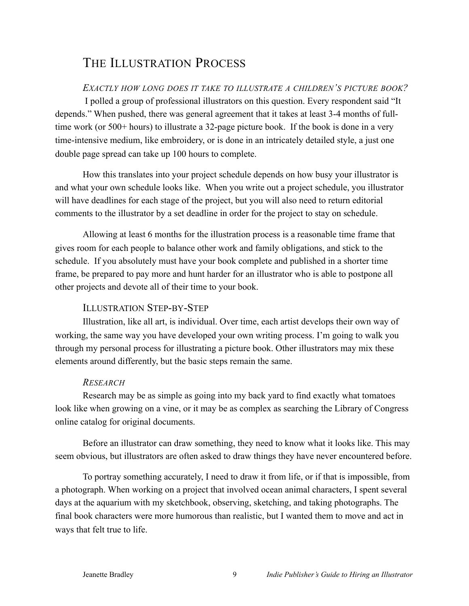# THE ILLUSTRATION PROCESS

# *EXACTLY HOW LONG DOES IT TAKE TO ILLUSTRATE A CHILDREN'S PICTURE BOOK?*

 I polled a group of professional illustrators on this question. Every respondent said "It depends." When pushed, there was general agreement that it takes at least 3-4 months of fulltime work (or 500+ hours) to illustrate a 32-page picture book. If the book is done in a very time-intensive medium, like embroidery, or is done in an intricately detailed style, a just one double page spread can take up 100 hours to complete.

How this translates into your project schedule depends on how busy your illustrator is and what your own schedule looks like. When you write out a project schedule, you illustrator will have deadlines for each stage of the project, but you will also need to return editorial comments to the illustrator by a set deadline in order for the project to stay on schedule.

Allowing at least 6 months for the illustration process is a reasonable time frame that gives room for each people to balance other work and family obligations, and stick to the schedule. If you absolutely must have your book complete and published in a shorter time frame, be prepared to pay more and hunt harder for an illustrator who is able to postpone all other projects and devote all of their time to your book.

# ILLUSTRATION STEP-BY-STEP

Illustration, like all art, is individual. Over time, each artist develops their own way of working, the same way you have developed your own writing process. I'm going to walk you through my personal process for illustrating a picture book. Other illustrators may mix these elements around differently, but the basic steps remain the same.

# *RESEARCH*

Research may be as simple as going into my back yard to find exactly what tomatoes look like when growing on a vine, or it may be as complex as searching the Library of Congress online catalog for original documents.

Before an illustrator can draw something, they need to know what it looks like. This may seem obvious, but illustrators are often asked to draw things they have never encountered before.

To portray something accurately, I need to draw it from life, or if that is impossible, from a photograph. When working on a project that involved ocean animal characters, I spent several days at the aquarium with my sketchbook, observing, sketching, and taking photographs. The final book characters were more humorous than realistic, but I wanted them to move and act in ways that felt true to life.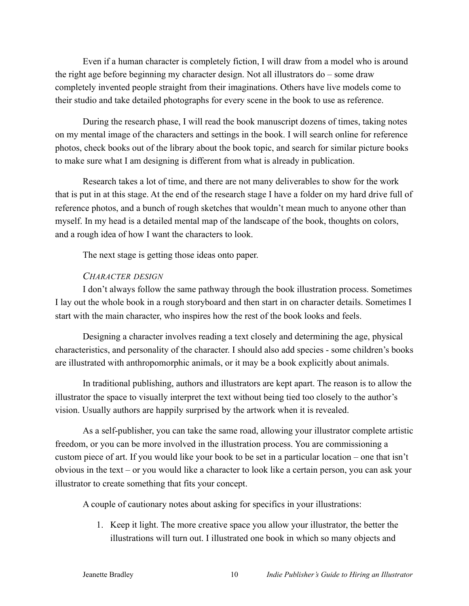Even if a human character is completely fiction, I will draw from a model who is around the right age before beginning my character design. Not all illustrators do – some draw completely invented people straight from their imaginations. Others have live models come to their studio and take detailed photographs for every scene in the book to use as reference.

During the research phase, I will read the book manuscript dozens of times, taking notes on my mental image of the characters and settings in the book. I will search online for reference photos, check books out of the library about the book topic, and search for similar picture books to make sure what I am designing is different from what is already in publication.

Research takes a lot of time, and there are not many deliverables to show for the work that is put in at this stage. At the end of the research stage I have a folder on my hard drive full of reference photos, and a bunch of rough sketches that wouldn't mean much to anyone other than myself. In my head is a detailed mental map of the landscape of the book, thoughts on colors, and a rough idea of how I want the characters to look.

The next stage is getting those ideas onto paper.

#### *CHARACTER DESIGN*

I don't always follow the same pathway through the book illustration process. Sometimes I lay out the whole book in a rough storyboard and then start in on character details. Sometimes I start with the main character, who inspires how the rest of the book looks and feels.

Designing a character involves reading a text closely and determining the age, physical characteristics, and personality of the character. I should also add species - some children's books are illustrated with anthropomorphic animals, or it may be a book explicitly about animals.

In traditional publishing, authors and illustrators are kept apart. The reason is to allow the illustrator the space to visually interpret the text without being tied too closely to the author's vision. Usually authors are happily surprised by the artwork when it is revealed.

As a self-publisher, you can take the same road, allowing your illustrator complete artistic freedom, or you can be more involved in the illustration process. You are commissioning a custom piece of art. If you would like your book to be set in a particular location – one that isn't obvious in the text – or you would like a character to look like a certain person, you can ask your illustrator to create something that fits your concept.

A couple of cautionary notes about asking for specifics in your illustrations:

1. Keep it light. The more creative space you allow your illustrator, the better the illustrations will turn out. I illustrated one book in which so many objects and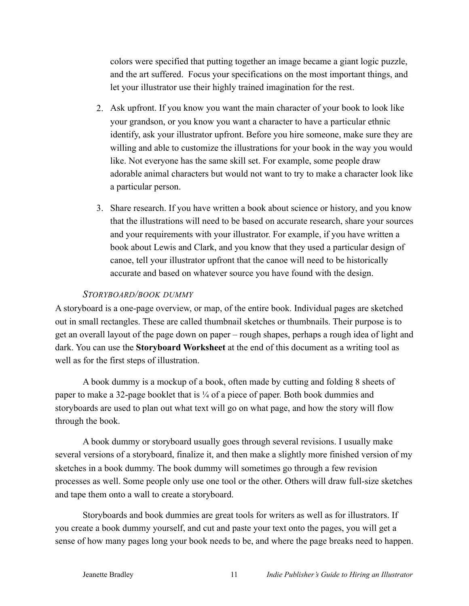colors were specified that putting together an image became a giant logic puzzle, and the art suffered. Focus your specifications on the most important things, and let your illustrator use their highly trained imagination for the rest.

- 2. Ask upfront. If you know you want the main character of your book to look like your grandson, or you know you want a character to have a particular ethnic identify, ask your illustrator upfront. Before you hire someone, make sure they are willing and able to customize the illustrations for your book in the way you would like. Not everyone has the same skill set. For example, some people draw adorable animal characters but would not want to try to make a character look like a particular person.
- 3. Share research. If you have written a book about science or history, and you know that the illustrations will need to be based on accurate research, share your sources and your requirements with your illustrator. For example, if you have written a book about Lewis and Clark, and you know that they used a particular design of canoe, tell your illustrator upfront that the canoe will need to be historically accurate and based on whatever source you have found with the design.

#### *STORYBOARD/BOOK DUMMY*

A storyboard is a one-page overview, or map, of the entire book. Individual pages are sketched out in small rectangles. These are called thumbnail sketches or thumbnails. Their purpose is to get an overall layout of the page down on paper – rough shapes, perhaps a rough idea of light and dark. You can use the **Storyboard Worksheet** at the end of this document as a writing tool as well as for the first steps of illustration.

A book dummy is a mockup of a book, often made by cutting and folding 8 sheets of paper to make a 32-page booklet that is ¼ of a piece of paper. Both book dummies and storyboards are used to plan out what text will go on what page, and how the story will flow through the book.

A book dummy or storyboard usually goes through several revisions. I usually make several versions of a storyboard, finalize it, and then make a slightly more finished version of my sketches in a book dummy. The book dummy will sometimes go through a few revision processes as well. Some people only use one tool or the other. Others will draw full-size sketches and tape them onto a wall to create a storyboard.

Storyboards and book dummies are great tools for writers as well as for illustrators. If you create a book dummy yourself, and cut and paste your text onto the pages, you will get a sense of how many pages long your book needs to be, and where the page breaks need to happen.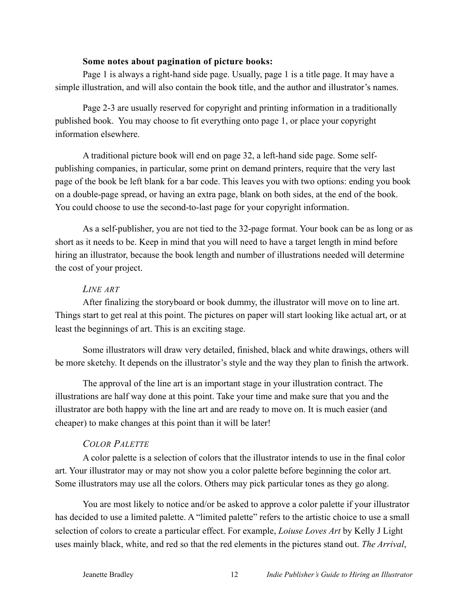#### **Some notes about pagination of picture books:**

Page 1 is always a right-hand side page. Usually, page 1 is a title page. It may have a simple illustration, and will also contain the book title, and the author and illustrator's names.

Page 2-3 are usually reserved for copyright and printing information in a traditionally published book. You may choose to fit everything onto page 1, or place your copyright information elsewhere.

A traditional picture book will end on page 32, a left-hand side page. Some selfpublishing companies, in particular, some print on demand printers, require that the very last page of the book be left blank for a bar code. This leaves you with two options: ending you book on a double-page spread, or having an extra page, blank on both sides, at the end of the book. You could choose to use the second-to-last page for your copyright information.

As a self-publisher, you are not tied to the 32-page format. Your book can be as long or as short as it needs to be. Keep in mind that you will need to have a target length in mind before hiring an illustrator, because the book length and number of illustrations needed will determine the cost of your project.

#### *LINE ART*

After finalizing the storyboard or book dummy, the illustrator will move on to line art. Things start to get real at this point. The pictures on paper will start looking like actual art, or at least the beginnings of art. This is an exciting stage.

Some illustrators will draw very detailed, finished, black and white drawings, others will be more sketchy. It depends on the illustrator's style and the way they plan to finish the artwork.

The approval of the line art is an important stage in your illustration contract. The illustrations are half way done at this point. Take your time and make sure that you and the illustrator are both happy with the line art and are ready to move on. It is much easier (and cheaper) to make changes at this point than it will be later!

#### *COLOR PALETTE*

A color palette is a selection of colors that the illustrator intends to use in the final color art. Your illustrator may or may not show you a color palette before beginning the color art. Some illustrators may use all the colors. Others may pick particular tones as they go along.

You are most likely to notice and/or be asked to approve a color palette if your illustrator has decided to use a limited palette. A "limited palette" refers to the artistic choice to use a small selection of colors to create a particular effect. For example, *Loiuse Loves Art* by Kelly J Light uses mainly black, white, and red so that the red elements in the pictures stand out. *The Arrival*,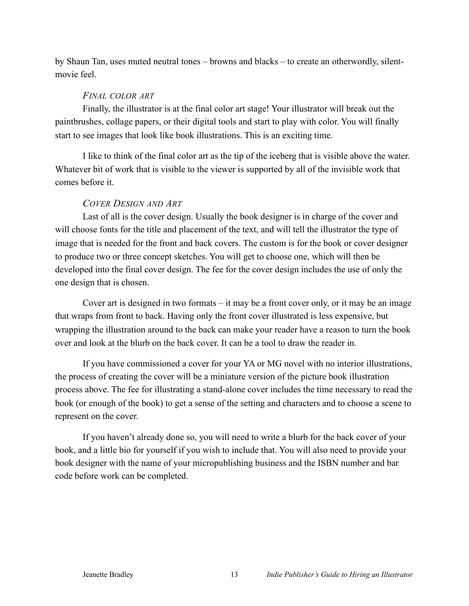by Shaun Tan, uses muted neutral tones – browns and blacks – to create an otherwordly, silentmovie feel.

#### *FINAL COLOR ART*

Finally, the illustrator is at the final color art stage! Your illustrator will break out the paintbrushes, collage papers, or their digital tools and start to play with color. You will finally start to see images that look like book illustrations. This is an exciting time.

I like to think of the final color art as the tip of the iceberg that is visible above the water. Whatever bit of work that is visible to the viewer is supported by all of the invisible work that comes before it.

#### *COVER DESIGN AND ART*

Last of all is the cover design. Usually the book designer is in charge of the cover and will choose fonts for the title and placement of the text, and will tell the illustrator the type of image that is needed for the front and back covers. The custom is for the book or cover designer to produce two or three concept sketches. You will get to choose one, which will then be developed into the final cover design. The fee for the cover design includes the use of only the one design that is chosen.

Cover art is designed in two formats – it may be a front cover only, or it may be an image that wraps from front to back. Having only the front cover illustrated is less expensive, but wrapping the illustration around to the back can make your reader have a reason to turn the book over and look at the blurb on the back cover. It can be a tool to draw the reader in.

If you have commissioned a cover for your YA or MG novel with no interior illustrations, the process of creating the cover will be a miniature version of the picture book illustration process above. The fee for illustrating a stand-alone cover includes the time necessary to read the book (or enough of the book) to get a sense of the setting and characters and to choose a scene to represent on the cover.

If you haven't already done so, you will need to write a blurb for the back cover of your book, and a little bio for yourself if you wish to include that. You will also need to provide your book designer with the name of your micropublishing business and the ISBN number and bar code before work can be completed.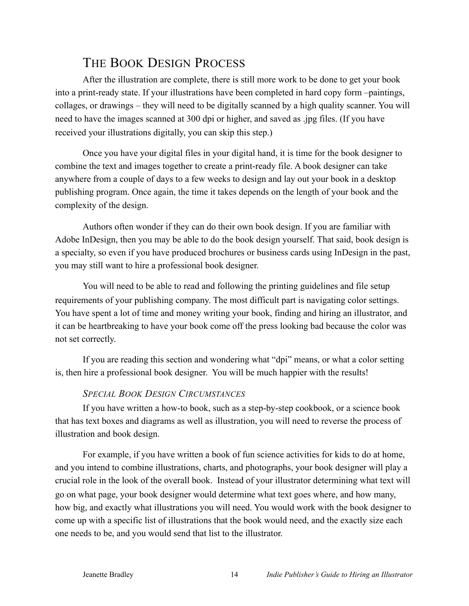# THE BOOK DESIGN PROCESS

After the illustration are complete, there is still more work to be done to get your book into a print-ready state. If your illustrations have been completed in hard copy form –paintings, collages, or drawings – they will need to be digitally scanned by a high quality scanner. You will need to have the images scanned at 300 dpi or higher, and saved as .jpg files. (If you have received your illustrations digitally, you can skip this step.)

Once you have your digital files in your digital hand, it is time for the book designer to combine the text and images together to create a print-ready file. A book designer can take anywhere from a couple of days to a few weeks to design and lay out your book in a desktop publishing program. Once again, the time it takes depends on the length of your book and the complexity of the design.

Authors often wonder if they can do their own book design. If you are familiar with Adobe InDesign, then you may be able to do the book design yourself. That said, book design is a specialty, so even if you have produced brochures or business cards using InDesign in the past, you may still want to hire a professional book designer.

You will need to be able to read and following the printing guidelines and file setup requirements of your publishing company. The most difficult part is navigating color settings. You have spent a lot of time and money writing your book, finding and hiring an illustrator, and it can be heartbreaking to have your book come off the press looking bad because the color was not set correctly.

If you are reading this section and wondering what "dpi" means, or what a color setting is, then hire a professional book designer. You will be much happier with the results!

# *SPECIAL BOOK DESIGN CIRCUMSTANCES*

If you have written a how-to book, such as a step-by-step cookbook, or a science book that has text boxes and diagrams as well as illustration, you will need to reverse the process of illustration and book design.

For example, if you have written a book of fun science activities for kids to do at home, and you intend to combine illustrations, charts, and photographs, your book designer will play a crucial role in the look of the overall book. Instead of your illustrator determining what text will go on what page, your book designer would determine what text goes where, and how many, how big, and exactly what illustrations you will need. You would work with the book designer to come up with a specific list of illustrations that the book would need, and the exactly size each one needs to be, and you would send that list to the illustrator.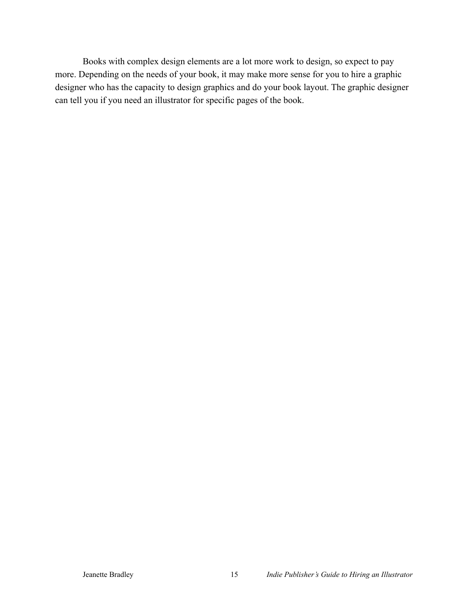Books with complex design elements are a lot more work to design, so expect to pay more. Depending on the needs of your book, it may make more sense for you to hire a graphic designer who has the capacity to design graphics and do your book layout. The graphic designer can tell you if you need an illustrator for specific pages of the book.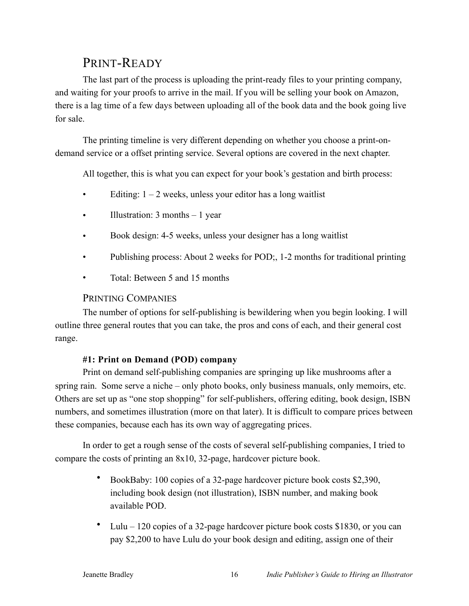# PRINT-READY

The last part of the process is uploading the print-ready files to your printing company, and waiting for your proofs to arrive in the mail. If you will be selling your book on Amazon, there is a lag time of a few days between uploading all of the book data and the book going live for sale.

The printing timeline is very different depending on whether you choose a print-ondemand service or a offset printing service. Several options are covered in the next chapter.

All together, this is what you can expect for your book's gestation and birth process:

- Editing:  $1 2$  weeks, unless your editor has a long waitlist
- Illustration: 3 months 1 year
- Book design: 4-5 weeks, unless your designer has a long waitlist
- Publishing process: About 2 weeks for POD; 1-2 months for traditional printing
- Total: Between 5 and 15 months

## PRINTING COMPANIES

The number of options for self-publishing is bewildering when you begin looking. I will outline three general routes that you can take, the pros and cons of each, and their general cost range.

#### **#1: Print on Demand (POD) company**

Print on demand self-publishing companies are springing up like mushrooms after a spring rain. Some serve a niche – only photo books, only business manuals, only memoirs, etc. Others are set up as "one stop shopping" for self-publishers, offering editing, book design, ISBN numbers, and sometimes illustration (more on that later). It is difficult to compare prices between these companies, because each has its own way of aggregating prices.

In order to get a rough sense of the costs of several self-publishing companies, I tried to compare the costs of printing an 8x10, 32-page, hardcover picture book.

- BookBaby: 100 copies of a 32-page hardcover picture book costs \$2,390, including book design (not illustration), ISBN number, and making book available POD.
- Lulu 120 copies of a 32-page hardcover picture book costs \$1830, or you can pay \$2,200 to have Lulu do your book design and editing, assign one of their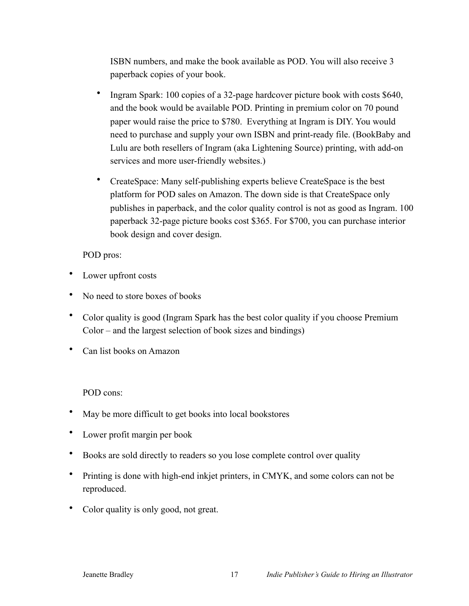ISBN numbers, and make the book available as POD. You will also receive 3 paperback copies of your book.

- Ingram Spark: 100 copies of a 32-page hardcover picture book with costs \$640, and the book would be available POD. Printing in premium color on 70 pound paper would raise the price to \$780. Everything at Ingram is DIY. You would need to purchase and supply your own ISBN and print-ready file. (BookBaby and Lulu are both resellers of Ingram (aka Lightening Source) printing, with add-on services and more user-friendly websites.)
- CreateSpace: Many self-publishing experts believe CreateSpace is the best platform for POD sales on Amazon. The down side is that CreateSpace only publishes in paperback, and the color quality control is not as good as Ingram. 100 paperback 32-page picture books cost \$365. For \$700, you can purchase interior book design and cover design.

## POD pros:

- Lower upfront costs
- No need to store boxes of books
- Color quality is good (Ingram Spark has the best color quality if you choose Premium Color – and the largest selection of book sizes and bindings)
- Can list books on Amazon

# POD cons:

- May be more difficult to get books into local bookstores
- Lower profit margin per book
- Books are sold directly to readers so you lose complete control over quality
- Printing is done with high-end inkjet printers, in CMYK, and some colors can not be reproduced.
- Color quality is only good, not great.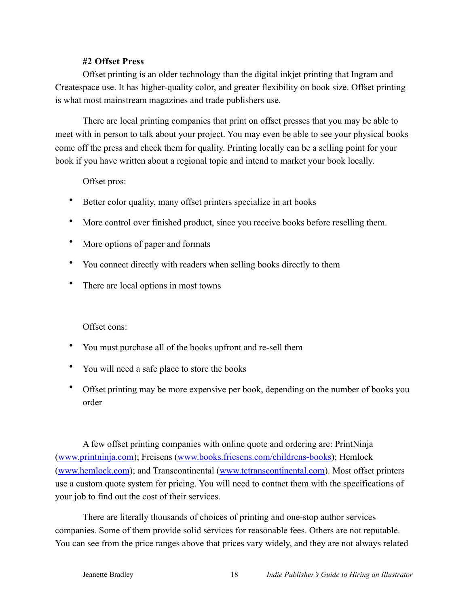#### **#2 Offset Press**

Offset printing is an older technology than the digital inkjet printing that Ingram and Createspace use. It has higher-quality color, and greater flexibility on book size. Offset printing is what most mainstream magazines and trade publishers use.

There are local printing companies that print on offset presses that you may be able to meet with in person to talk about your project. You may even be able to see your physical books come off the press and check them for quality. Printing locally can be a selling point for your book if you have written about a regional topic and intend to market your book locally.

#### Offset pros:

- Better color quality, many offset printers specialize in art books
- More control over finished product, since you receive books before reselling them.
- More options of paper and formats
- You connect directly with readers when selling books directly to them
- There are local options in most towns

#### Offset cons:

- You must purchase all of the books upfront and re-sell them
- You will need a safe place to store the books
- Offset printing may be more expensive per book, depending on the number of books you order

A few offset printing companies with online quote and ordering are: PrintNinja ([www.printninja.com\)](http://www.printninja.com); Freisens ([www.books.friesens.com/childrens-books\)](http://www.books.friesens.com/childrens-books); Hemlock ([www.hemlock.com](http://www.hemlock.com)); and Transcontinental ([www.tctranscontinental.com](http://www.tctranscontinental.com)). Most offset printers use a custom quote system for pricing. You will need to contact them with the specifications of your job to find out the cost of their services.

There are literally thousands of choices of printing and one-stop author services companies. Some of them provide solid services for reasonable fees. Others are not reputable. You can see from the price ranges above that prices vary widely, and they are not always related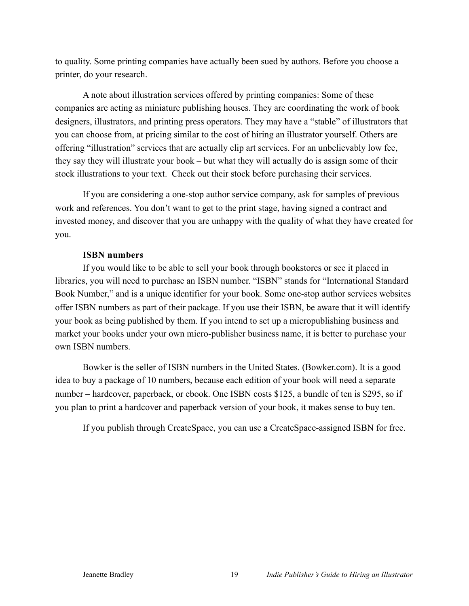to quality. Some printing companies have actually been sued by authors. Before you choose a printer, do your research.

A note about illustration services offered by printing companies: Some of these companies are acting as miniature publishing houses. They are coordinating the work of book designers, illustrators, and printing press operators. They may have a "stable" of illustrators that you can choose from, at pricing similar to the cost of hiring an illustrator yourself. Others are offering "illustration" services that are actually clip art services. For an unbelievably low fee, they say they will illustrate your book – but what they will actually do is assign some of their stock illustrations to your text. Check out their stock before purchasing their services.

If you are considering a one-stop author service company, ask for samples of previous work and references. You don't want to get to the print stage, having signed a contract and invested money, and discover that you are unhappy with the quality of what they have created for you.

#### **ISBN numbers**

If you would like to be able to sell your book through bookstores or see it placed in libraries, you will need to purchase an ISBN number. "ISBN" stands for "International Standard Book Number," and is a unique identifier for your book. Some one-stop author services websites offer ISBN numbers as part of their package. If you use their ISBN, be aware that it will identify your book as being published by them. If you intend to set up a micropublishing business and market your books under your own micro-publisher business name, it is better to purchase your own ISBN numbers.

Bowker is the seller of ISBN numbers in the United States. (Bowker.com). It is a good idea to buy a package of 10 numbers, because each edition of your book will need a separate number – hardcover, paperback, or ebook. One ISBN costs \$125, a bundle of ten is \$295, so if you plan to print a hardcover and paperback version of your book, it makes sense to buy ten.

If you publish through CreateSpace, you can use a CreateSpace-assigned ISBN for free.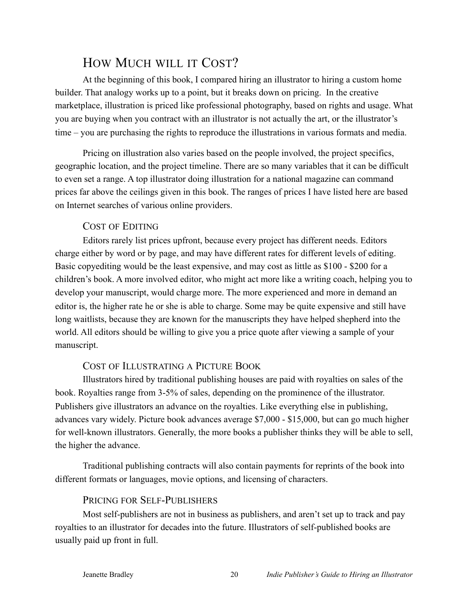# HOW MUCH WILL IT COST?

At the beginning of this book, I compared hiring an illustrator to hiring a custom home builder. That analogy works up to a point, but it breaks down on pricing. In the creative marketplace, illustration is priced like professional photography, based on rights and usage. What you are buying when you contract with an illustrator is not actually the art, or the illustrator's time – you are purchasing the rights to reproduce the illustrations in various formats and media.

Pricing on illustration also varies based on the people involved, the project specifics, geographic location, and the project timeline. There are so many variables that it can be difficult to even set a range. A top illustrator doing illustration for a national magazine can command prices far above the ceilings given in this book. The ranges of prices I have listed here are based on Internet searches of various online providers.

# COST OF EDITING

Editors rarely list prices upfront, because every project has different needs. Editors charge either by word or by page, and may have different rates for different levels of editing. Basic copyediting would be the least expensive, and may cost as little as \$100 - \$200 for a children's book. A more involved editor, who might act more like a writing coach, helping you to develop your manuscript, would charge more. The more experienced and more in demand an editor is, the higher rate he or she is able to charge. Some may be quite expensive and still have long waitlists, because they are known for the manuscripts they have helped shepherd into the world. All editors should be willing to give you a price quote after viewing a sample of your manuscript.

# COST OF ILLUSTRATING A PICTURE BOOK

Illustrators hired by traditional publishing houses are paid with royalties on sales of the book. Royalties range from 3-5% of sales, depending on the prominence of the illustrator. Publishers give illustrators an advance on the royalties. Like everything else in publishing, advances vary widely. Picture book advances average \$7,000 - \$15,000, but can go much higher for well-known illustrators. Generally, the more books a publisher thinks they will be able to sell, the higher the advance.

Traditional publishing contracts will also contain payments for reprints of the book into different formats or languages, movie options, and licensing of characters.

# PRICING FOR SELF-PUBLISHERS

Most self-publishers are not in business as publishers, and aren't set up to track and pay royalties to an illustrator for decades into the future. Illustrators of self-published books are usually paid up front in full.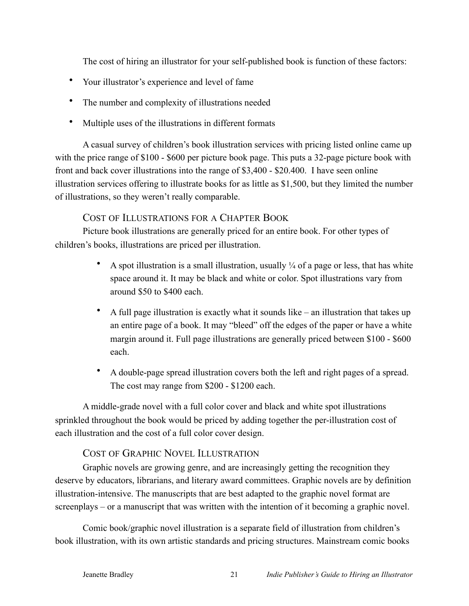The cost of hiring an illustrator for your self-published book is function of these factors:

- Your illustrator's experience and level of fame
- The number and complexity of illustrations needed
- Multiple uses of the illustrations in different formats

A casual survey of children's book illustration services with pricing listed online came up with the price range of \$100 - \$600 per picture book page. This puts a 32-page picture book with front and back cover illustrations into the range of \$3,400 - \$20.400. I have seen online illustration services offering to illustrate books for as little as \$1,500, but they limited the number of illustrations, so they weren't really comparable.

# COST OF ILLUSTRATIONS FOR A CHAPTER BOOK

Picture book illustrations are generally priced for an entire book. For other types of children's books, illustrations are priced per illustration.

- A spot illustration is a small illustration, usually  $\frac{1}{4}$  of a page or less, that has white space around it. It may be black and white or color. Spot illustrations vary from around \$50 to \$400 each.
- A full page illustration is exactly what it sounds like an illustration that takes up an entire page of a book. It may "bleed" off the edges of the paper or have a white margin around it. Full page illustrations are generally priced between \$100 - \$600 each.
- A double-page spread illustration covers both the left and right pages of a spread. The cost may range from \$200 - \$1200 each.

A middle-grade novel with a full color cover and black and white spot illustrations sprinkled throughout the book would be priced by adding together the per-illustration cost of each illustration and the cost of a full color cover design.

# COST OF GRAPHIC NOVEL ILLUSTRATION

Graphic novels are growing genre, and are increasingly getting the recognition they deserve by educators, librarians, and literary award committees. Graphic novels are by definition illustration-intensive. The manuscripts that are best adapted to the graphic novel format are screenplays – or a manuscript that was written with the intention of it becoming a graphic novel.

Comic book/graphic novel illustration is a separate field of illustration from children's book illustration, with its own artistic standards and pricing structures. Mainstream comic books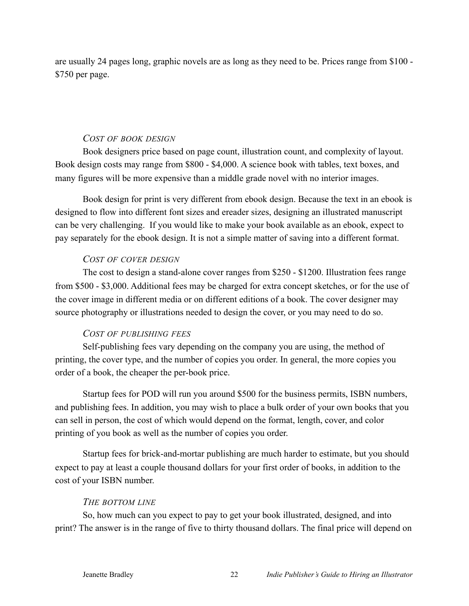are usually 24 pages long, graphic novels are as long as they need to be. Prices range from \$100 - \$750 per page.

#### *COST OF BOOK DESIGN*

Book designers price based on page count, illustration count, and complexity of layout. Book design costs may range from \$800 - \$4,000. A science book with tables, text boxes, and many figures will be more expensive than a middle grade novel with no interior images.

Book design for print is very different from ebook design. Because the text in an ebook is designed to flow into different font sizes and ereader sizes, designing an illustrated manuscript can be very challenging. If you would like to make your book available as an ebook, expect to pay separately for the ebook design. It is not a simple matter of saving into a different format.

#### *COST OF COVER DESIGN*

The cost to design a stand-alone cover ranges from \$250 - \$1200. Illustration fees range from \$500 - \$3,000. Additional fees may be charged for extra concept sketches, or for the use of the cover image in different media or on different editions of a book. The cover designer may source photography or illustrations needed to design the cover, or you may need to do so.

#### *COST OF PUBLISHING FEES*

Self-publishing fees vary depending on the company you are using, the method of printing, the cover type, and the number of copies you order. In general, the more copies you order of a book, the cheaper the per-book price.

Startup fees for POD will run you around \$500 for the business permits, ISBN numbers, and publishing fees. In addition, you may wish to place a bulk order of your own books that you can sell in person, the cost of which would depend on the format, length, cover, and color printing of you book as well as the number of copies you order.

Startup fees for brick-and-mortar publishing are much harder to estimate, but you should expect to pay at least a couple thousand dollars for your first order of books, in addition to the cost of your ISBN number.

#### *THE BOTTOM LINE*

So, how much can you expect to pay to get your book illustrated, designed, and into print? The answer is in the range of five to thirty thousand dollars. The final price will depend on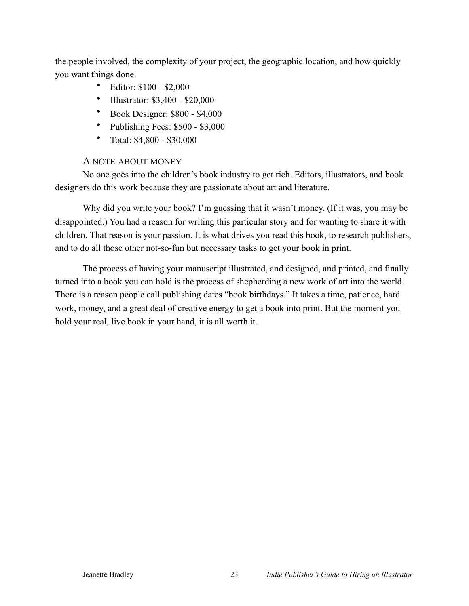the people involved, the complexity of your project, the geographic location, and how quickly you want things done.

- Editor: \$100 \$2,000
- Illustrator: \$3,400 \$20,000
- Book Designer: \$800 \$4,000
- Publishing Fees: \$500 \$3,000
- Total: \$4,800 \$30,000

#### A NOTE ABOUT MONEY

No one goes into the children's book industry to get rich. Editors, illustrators, and book designers do this work because they are passionate about art and literature.

Why did you write your book? I'm guessing that it wasn't money. (If it was, you may be disappointed.) You had a reason for writing this particular story and for wanting to share it with children. That reason is your passion. It is what drives you read this book, to research publishers, and to do all those other not-so-fun but necessary tasks to get your book in print.

The process of having your manuscript illustrated, and designed, and printed, and finally turned into a book you can hold is the process of shepherding a new work of art into the world. There is a reason people call publishing dates "book birthdays." It takes a time, patience, hard work, money, and a great deal of creative energy to get a book into print. But the moment you hold your real, live book in your hand, it is all worth it.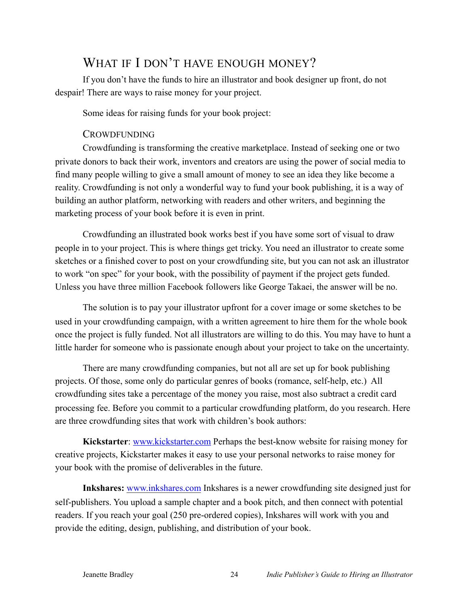# WHAT IF I DON'T HAVE ENOUGH MONEY?

If you don't have the funds to hire an illustrator and book designer up front, do not despair! There are ways to raise money for your project.

Some ideas for raising funds for your book project:

# **CROWDFUNDING**

Crowdfunding is transforming the creative marketplace. Instead of seeking one or two private donors to back their work, inventors and creators are using the power of social media to find many people willing to give a small amount of money to see an idea they like become a reality. Crowdfunding is not only a wonderful way to fund your book publishing, it is a way of building an author platform, networking with readers and other writers, and beginning the marketing process of your book before it is even in print.

Crowdfunding an illustrated book works best if you have some sort of visual to draw people in to your project. This is where things get tricky. You need an illustrator to create some sketches or a finished cover to post on your crowdfunding site, but you can not ask an illustrator to work "on spec" for your book, with the possibility of payment if the project gets funded. Unless you have three million Facebook followers like George Takaei, the answer will be no.

The solution is to pay your illustrator upfront for a cover image or some sketches to be used in your crowdfunding campaign, with a written agreement to hire them for the whole book once the project is fully funded. Not all illustrators are willing to do this. You may have to hunt a little harder for someone who is passionate enough about your project to take on the uncertainty.

There are many crowdfunding companies, but not all are set up for book publishing projects. Of those, some only do particular genres of books (romance, self-help, etc.) All crowdfunding sites take a percentage of the money you raise, most also subtract a credit card processing fee. Before you commit to a particular crowdfunding platform, do you research. Here are three crowdfunding sites that work with children's book authors:

**Kickstarter**: **www.kickstarter.com** Perhaps the best-know website for raising money for creative projects, Kickstarter makes it easy to use your personal networks to raise money for your book with the promise of deliverables in the future.

**Inkshares:** [www.inkshares.com](http://www.inkshares.com) Inkshares is a newer crowdfunding site designed just for self-publishers. You upload a sample chapter and a book pitch, and then connect with potential readers. If you reach your goal (250 pre-ordered copies), Inkshares will work with you and provide the editing, design, publishing, and distribution of your book.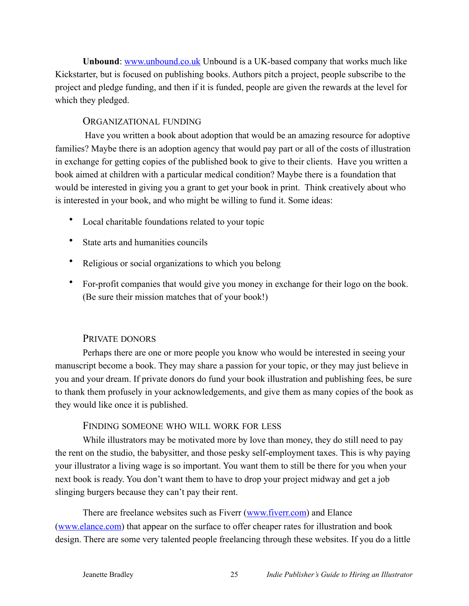**Unbound:** [www.unbound.co.uk](http://www.unbound.co.uk) Unbound is a UK-based company that works much like Kickstarter, but is focused on publishing books. Authors pitch a project, people subscribe to the project and pledge funding, and then if it is funded, people are given the rewards at the level for which they pledged.

#### ORGANIZATIONAL FUNDING

 Have you written a book about adoption that would be an amazing resource for adoptive families? Maybe there is an adoption agency that would pay part or all of the costs of illustration in exchange for getting copies of the published book to give to their clients. Have you written a book aimed at children with a particular medical condition? Maybe there is a foundation that would be interested in giving you a grant to get your book in print. Think creatively about who is interested in your book, and who might be willing to fund it. Some ideas:

- Local charitable foundations related to your topic
- State arts and humanities councils
- Religious or social organizations to which you belong
- For-profit companies that would give you money in exchange for their logo on the book. (Be sure their mission matches that of your book!)

#### PRIVATE DONORS

Perhaps there are one or more people you know who would be interested in seeing your manuscript become a book. They may share a passion for your topic, or they may just believe in you and your dream. If private donors do fund your book illustration and publishing fees, be sure to thank them profusely in your acknowledgements, and give them as many copies of the book as they would like once it is published.

#### FINDING SOMEONE WHO WILL WORK FOR LESS

While illustrators may be motivated more by love than money, they do still need to pay the rent on the studio, the babysitter, and those pesky self-employment taxes. This is why paying your illustrator a living wage is so important. You want them to still be there for you when your next book is ready. You don't want them to have to drop your project midway and get a job slinging burgers because they can't pay their rent.

There are freelance websites such as Fiverr [\(www.fiverr.com](http://www.fiverr.com)) and Elance ([www.elance.com](http://www.elance.com)) that appear on the surface to offer cheaper rates for illustration and book design. There are some very talented people freelancing through these websites. If you do a little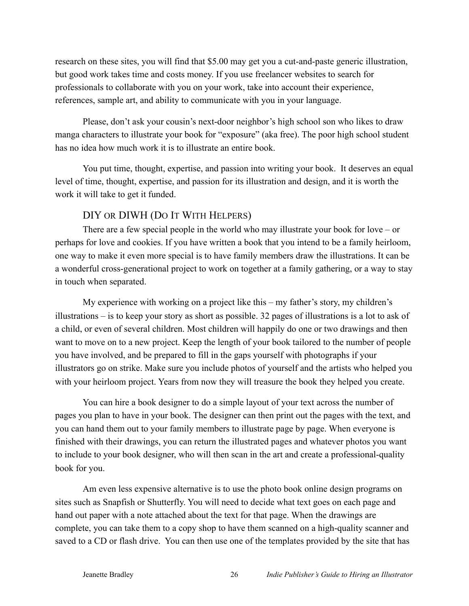research on these sites, you will find that \$5.00 may get you a cut-and-paste generic illustration, but good work takes time and costs money. If you use freelancer websites to search for professionals to collaborate with you on your work, take into account their experience, references, sample art, and ability to communicate with you in your language.

Please, don't ask your cousin's next-door neighbor's high school son who likes to draw manga characters to illustrate your book for "exposure" (aka free). The poor high school student has no idea how much work it is to illustrate an entire book.

You put time, thought, expertise, and passion into writing your book. It deserves an equal level of time, thought, expertise, and passion for its illustration and design, and it is worth the work it will take to get it funded.

## DIY OR DIWH (DO IT WITH HELPERS)

There are a few special people in the world who may illustrate your book for love – or perhaps for love and cookies. If you have written a book that you intend to be a family heirloom, one way to make it even more special is to have family members draw the illustrations. It can be a wonderful cross-generational project to work on together at a family gathering, or a way to stay in touch when separated.

My experience with working on a project like this – my father's story, my children's illustrations – is to keep your story as short as possible. 32 pages of illustrations is a lot to ask of a child, or even of several children. Most children will happily do one or two drawings and then want to move on to a new project. Keep the length of your book tailored to the number of people you have involved, and be prepared to fill in the gaps yourself with photographs if your illustrators go on strike. Make sure you include photos of yourself and the artists who helped you with your heirloom project. Years from now they will treasure the book they helped you create.

You can hire a book designer to do a simple layout of your text across the number of pages you plan to have in your book. The designer can then print out the pages with the text, and you can hand them out to your family members to illustrate page by page. When everyone is finished with their drawings, you can return the illustrated pages and whatever photos you want to include to your book designer, who will then scan in the art and create a professional-quality book for you.

Am even less expensive alternative is to use the photo book online design programs on sites such as Snapfish or Shutterfly. You will need to decide what text goes on each page and hand out paper with a note attached about the text for that page. When the drawings are complete, you can take them to a copy shop to have them scanned on a high-quality scanner and saved to a CD or flash drive. You can then use one of the templates provided by the site that has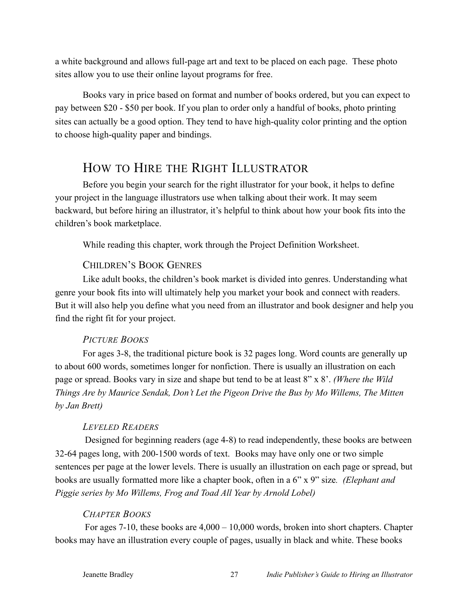a white background and allows full-page art and text to be placed on each page. These photo sites allow you to use their online layout programs for free.

Books vary in price based on format and number of books ordered, but you can expect to pay between \$20 - \$50 per book. If you plan to order only a handful of books, photo printing sites can actually be a good option. They tend to have high-quality color printing and the option to choose high-quality paper and bindings.

# HOW TO HIRE THE RIGHT ILLUSTRATOR

Before you begin your search for the right illustrator for your book, it helps to define your project in the language illustrators use when talking about their work. It may seem backward, but before hiring an illustrator, it's helpful to think about how your book fits into the children's book marketplace.

While reading this chapter, work through the Project Definition Worksheet.

#### CHILDREN'S BOOK GENRES

Like adult books, the children's book market is divided into genres. Understanding what genre your book fits into will ultimately help you market your book and connect with readers. But it will also help you define what you need from an illustrator and book designer and help you find the right fit for your project.

#### *PICTURE BOOKS*

For ages 3-8, the traditional picture book is 32 pages long. Word counts are generally up to about 600 words, sometimes longer for nonfiction. There is usually an illustration on each page or spread. Books vary in size and shape but tend to be at least 8" x 8'. *(Where the Wild Things Are by Maurice Sendak, Don't Let the Pigeon Drive the Bus by Mo Willems, The Mitten by Jan Brett)*

#### *LEVELED READERS*

 Designed for beginning readers (age 4-8) to read independently, these books are between 32-64 pages long, with 200-1500 words of text. Books may have only one or two simple sentences per page at the lower levels. There is usually an illustration on each page or spread, but books are usually formatted more like a chapter book, often in a 6" x 9" size*. (Elephant and Piggie series by Mo Willems, Frog and Toad All Year by Arnold Lobel)*

#### *CHAPTER BOOKS*

 For ages 7-10, these books are 4,000 – 10,000 words, broken into short chapters. Chapter books may have an illustration every couple of pages, usually in black and white. These books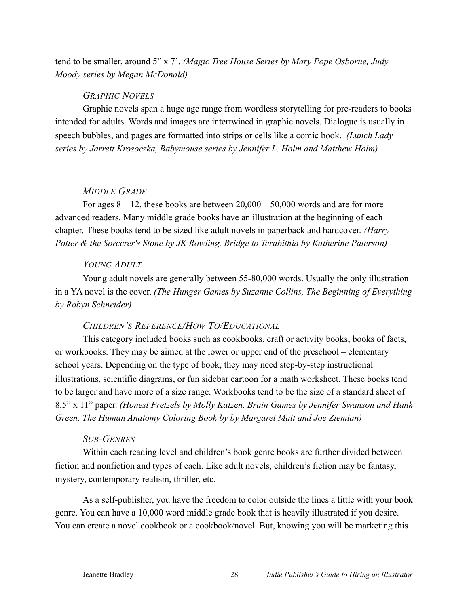tend to be smaller, around 5" x 7'. *(Magic Tree House Series by Mary Pope Osborne, Judy Moody series by Megan McDonald)*

#### *GRAPHIC NOVELS*

Graphic novels span a huge age range from wordless storytelling for pre-readers to books intended for adults. Words and images are intertwined in graphic novels. Dialogue is usually in speech bubbles, and pages are formatted into strips or cells like a comic book. *(Lunch Lady series by Jarrett Krosoczka, Babymouse series by Jennifer L. Holm and Matthew Holm)* 

#### *MIDDLE GRADE*

For ages  $8 - 12$ , these books are between  $20,000 - 50,000$  words and are for more advanced readers. Many middle grade books have an illustration at the beginning of each chapter. These books tend to be sized like adult novels in paperback and hardcover. *(Harry Potter & the Sorcerer's Stone by JK Rowling, Bridge to Terabithia by Katherine Paterson)* 

#### *YOUNG ADULT*

Young adult novels are generally between 55-80,000 words. Usually the only illustration in a YA novel is the cover. *(The Hunger Games by Suzanne Collins, The Beginning of Everything by Robyn Schneider)*

#### *CHILDREN'S REFERENCE/HOW TO/EDUCATIONAL*

This category included books such as cookbooks, craft or activity books, books of facts, or workbooks. They may be aimed at the lower or upper end of the preschool – elementary school years. Depending on the type of book, they may need step-by-step instructional illustrations, scientific diagrams, or fun sidebar cartoon for a math worksheet. These books tend to be larger and have more of a size range. Workbooks tend to be the size of a standard sheet of 8.5" x 11" paper. *(Honest Pretzels by Molly Katzen, Brain Games by Jennifer Swanson and Hank Green, The Human Anatomy Coloring Book by by Margaret Matt and Joe Ziemian)* 

#### *SUB-GENRES*

Within each reading level and children's book genre books are further divided between fiction and nonfiction and types of each. Like adult novels, children's fiction may be fantasy, mystery, contemporary realism, thriller, etc.

As a self-publisher, you have the freedom to color outside the lines a little with your book genre. You can have a 10,000 word middle grade book that is heavily illustrated if you desire. You can create a novel cookbook or a cookbook/novel. But, knowing you will be marketing this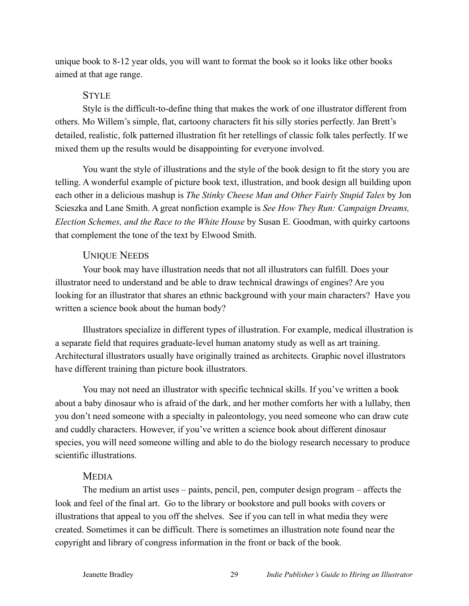unique book to 8-12 year olds, you will want to format the book so it looks like other books aimed at that age range.

#### **STYLE**

Style is the difficult-to-define thing that makes the work of one illustrator different from others. Mo Willem's simple, flat, cartoony characters fit his silly stories perfectly. Jan Brett's detailed, realistic, folk patterned illustration fit her retellings of classic folk tales perfectly. If we mixed them up the results would be disappointing for everyone involved.

You want the style of illustrations and the style of the book design to fit the story you are telling. A wonderful example of picture book text, illustration, and book design all building upon each other in a delicious mashup is *The Stinky Cheese Man and Other Fairly Stupid Tales* by Jon Scieszka and Lane Smith. A great nonfiction example is *See How They Run: Campaign Dreams, Election Schemes, and the Race to the White House* by Susan E. Goodman, with quirky cartoons that complement the tone of the text by Elwood Smith.

#### UNIQUE NEEDS

Your book may have illustration needs that not all illustrators can fulfill. Does your illustrator need to understand and be able to draw technical drawings of engines? Are you looking for an illustrator that shares an ethnic background with your main characters? Have you written a science book about the human body?

Illustrators specialize in different types of illustration. For example, medical illustration is a separate field that requires graduate-level human anatomy study as well as art training. Architectural illustrators usually have originally trained as architects. Graphic novel illustrators have different training than picture book illustrators.

You may not need an illustrator with specific technical skills. If you've written a book about a baby dinosaur who is afraid of the dark, and her mother comforts her with a lullaby, then you don't need someone with a specialty in paleontology, you need someone who can draw cute and cuddly characters. However, if you've written a science book about different dinosaur species, you will need someone willing and able to do the biology research necessary to produce scientific illustrations.

#### MEDIA

The medium an artist uses – paints, pencil, pen, computer design program – affects the look and feel of the final art. Go to the library or bookstore and pull books with covers or illustrations that appeal to you off the shelves. See if you can tell in what media they were created. Sometimes it can be difficult. There is sometimes an illustration note found near the copyright and library of congress information in the front or back of the book.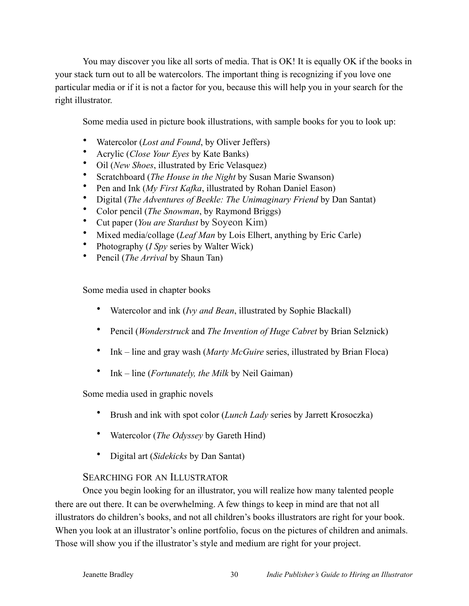You may discover you like all sorts of media. That is OK! It is equally OK if the books in your stack turn out to all be watercolors. The important thing is recognizing if you love one particular media or if it is not a factor for you, because this will help you in your search for the right illustrator.

Some media used in picture book illustrations, with sample books for you to look up:

- Watercolor (*Lost and Found*, by Oliver Jeffers)
- Acrylic (*Close Your Eyes* by Kate Banks)
- Oil (*New Shoes*, illustrated by Eric Velasquez)
- Scratchboard (*The House in the Night* by Susan Marie Swanson)
- Pen and Ink (*My First Kafka*, illustrated by Rohan Daniel Eason)
- Digital (*The Adventures of Beekle: The Unimaginary Friend* by Dan Santat)
- Color pencil (*The Snowman*, by Raymond Briggs)
- Cut paper (*You are Stardust* by Soyeon Kim)
- Mixed media/collage (*Leaf Man* by Lois Elhert, anything by Eric Carle)
- Photography (*I Spy* series by Walter Wick)
- Pencil (*The Arrival* by Shaun Tan)

Some media used in chapter books

- Watercolor and ink (*Ivy and Bean*, illustrated by Sophie Blackall)
- Pencil (*Wonderstruck* and *The Invention of Huge Cabret* by Brian Selznick)
- Ink line and gray wash (*Marty McGuire* series, illustrated by Brian Floca)
- Ink line (*Fortunately, the Milk* by Neil Gaiman)

Some media used in graphic novels

- Brush and ink with spot color (*Lunch Lady* series by Jarrett Krosoczka)
- Watercolor (*The Odyssey* by Gareth Hind)
- Digital art (*Sidekicks* by Dan Santat)

#### SEARCHING FOR AN ILLUSTRATOR

Once you begin looking for an illustrator, you will realize how many talented people there are out there. It can be overwhelming. A few things to keep in mind are that not all illustrators do children's books, and not all children's books illustrators are right for your book. When you look at an illustrator's online portfolio, focus on the pictures of children and animals. Those will show you if the illustrator's style and medium are right for your project.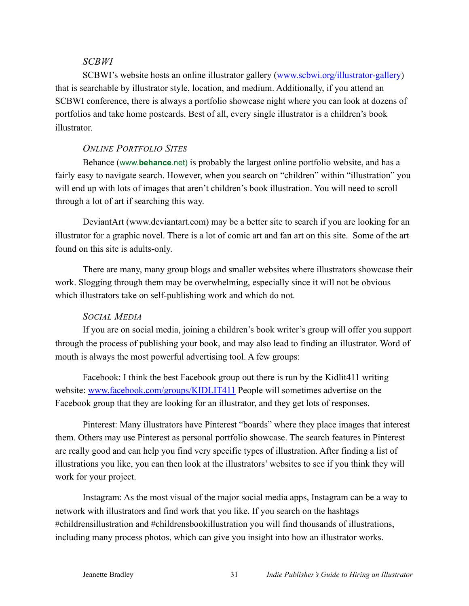#### *SCBWI*

SCBWI's website hosts an online illustrator gallery ([www.scbwi.org/illustrator-gallery\)](http://www.scbwi.org/illustrator-gallery) that is searchable by illustrator style, location, and medium. Additionally, if you attend an SCBWI conference, there is always a portfolio showcase night where you can look at dozens of portfolios and take home postcards. Best of all, every single illustrator is a children's book illustrator.

#### *ONLINE PORTFOLIO SITES*

Behance (www.**behance**.net) is probably the largest online portfolio website, and has a fairly easy to navigate search. However, when you search on "children" within "illustration" you will end up with lots of images that aren't children's book illustration. You will need to scroll through a lot of art if searching this way.

DeviantArt ([www.deviantart.com\)](http://www.deviantart.com) may be a better site to search if you are looking for an illustrator for a graphic novel. There is a lot of comic art and fan art on this site. Some of the art found on this site is adults-only.

There are many, many group blogs and smaller websites where illustrators showcase their work. Slogging through them may be overwhelming, especially since it will not be obvious which illustrators take on self-publishing work and which do not.

#### *SOCIAL MEDIA*

If you are on social media, joining a children's book writer's group will offer you support through the process of publishing your book, and may also lead to finding an illustrator. Word of mouth is always the most powerful advertising tool. A few groups:

Facebook: I think the best Facebook group out there is run by the Kidlit411 writing website: [www.facebook.com/groups/KIDLIT411](http://www.facebook.com/groups/KIDLIT411) People will sometimes advertise on the Facebook group that they are looking for an illustrator, and they get lots of responses.

Pinterest: Many illustrators have Pinterest "boards" where they place images that interest them. Others may use Pinterest as personal portfolio showcase. The search features in Pinterest are really good and can help you find very specific types of illustration. After finding a list of illustrations you like, you can then look at the illustrators' websites to see if you think they will work for your project.

Instagram: As the most visual of the major social media apps, Instagram can be a way to network with illustrators and find work that you like. If you search on the hashtags #childrensillustration and #childrensbookillustration you will find thousands of illustrations, including many process photos, which can give you insight into how an illustrator works.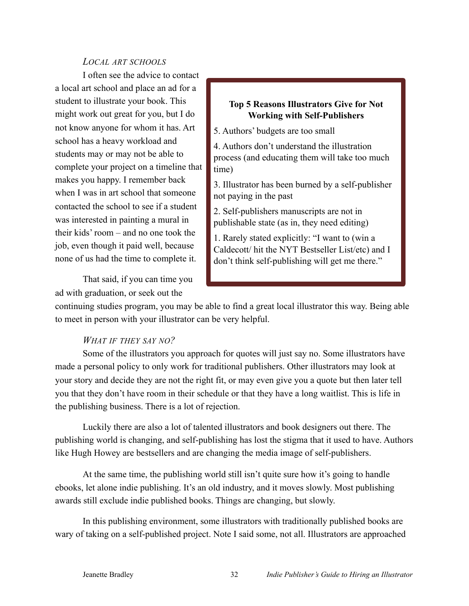#### *LOCAL ART SCHOOLS*

I often see the advice to contact a local art school and place an ad for a student to illustrate your book. This might work out great for you, but I do not know anyone for whom it has. Art school has a heavy workload and students may or may not be able to complete your project on a timeline that makes you happy. I remember back when I was in art school that someone contacted the school to see if a student was interested in painting a mural in their kids' room – and no one took the job, even though it paid well, because none of us had the time to complete it.

That said, if you can time you ad with graduation, or seek out the

#### **Top 5 Reasons Illustrators Give for Not Working with Self-Publishers**

5. Authors' budgets are too small

4. Authors don't understand the illustration process (and educating them will take too much time)

3. Illustrator has been burned by a self-publisher not paying in the past

2. Self-publishers manuscripts are not in publishable state (as in, they need editing)

1. Rarely stated explicitly: "I want to (win a Caldecott/ hit the NYT Bestseller List/etc) and I don't think self-publishing will get me there."

continuing studies program, you may be able to find a great local illustrator this way. Being able to meet in person with your illustrator can be very helpful.

# *WHAT IF THEY SAY NO?*

Some of the illustrators you approach for quotes will just say no. Some illustrators have made a personal policy to only work for traditional publishers. Other illustrators may look at your story and decide they are not the right fit, or may even give you a quote but then later tell you that they don't have room in their schedule or that they have a long waitlist. This is life in the publishing business. There is a lot of rejection.

Luckily there are also a lot of talented illustrators and book designers out there. The publishing world is changing, and self-publishing has lost the stigma that it used to have. Authors like Hugh Howey are bestsellers and are changing the media image of self-publishers.

At the same time, the publishing world still isn't quite sure how it's going to handle ebooks, let alone indie publishing. It's an old industry, and it moves slowly. Most publishing awards still exclude indie published books. Things are changing, but slowly.

In this publishing environment, some illustrators with traditionally published books are wary of taking on a self-published project. Note I said some, not all. Illustrators are approached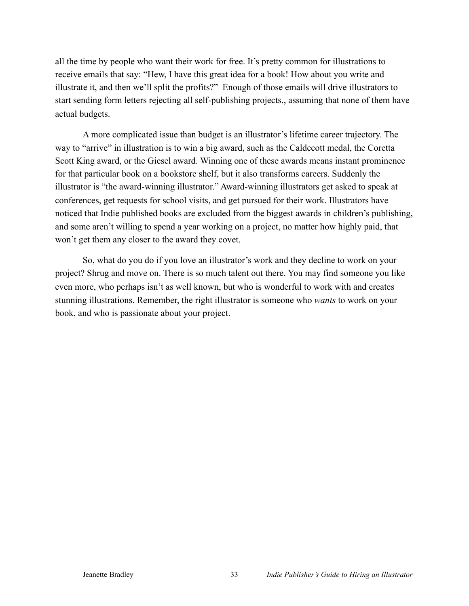all the time by people who want their work for free. It's pretty common for illustrations to receive emails that say: "Hew, I have this great idea for a book! How about you write and illustrate it, and then we'll split the profits?" Enough of those emails will drive illustrators to start sending form letters rejecting all self-publishing projects., assuming that none of them have actual budgets.

A more complicated issue than budget is an illustrator's lifetime career trajectory. The way to "arrive" in illustration is to win a big award, such as the Caldecott medal, the Coretta Scott King award, or the Giesel award. Winning one of these awards means instant prominence for that particular book on a bookstore shelf, but it also transforms careers. Suddenly the illustrator is "the award-winning illustrator." Award-winning illustrators get asked to speak at conferences, get requests for school visits, and get pursued for their work. Illustrators have noticed that Indie published books are excluded from the biggest awards in children's publishing, and some aren't willing to spend a year working on a project, no matter how highly paid, that won't get them any closer to the award they covet.

So, what do you do if you love an illustrator's work and they decline to work on your project? Shrug and move on. There is so much talent out there. You may find someone you like even more, who perhaps isn't as well known, but who is wonderful to work with and creates stunning illustrations. Remember, the right illustrator is someone who *wants* to work on your book, and who is passionate about your project.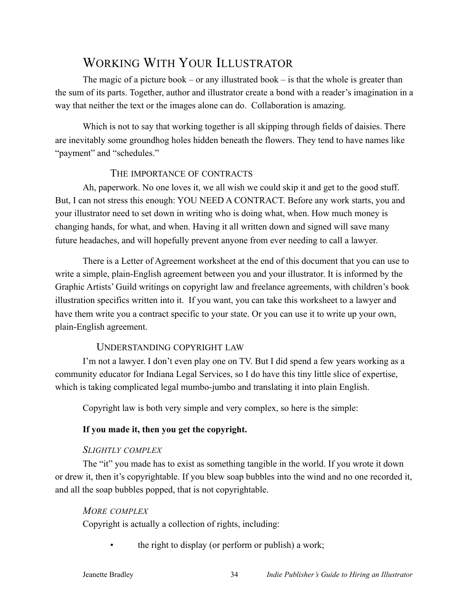# WORKING WITH YOUR ILLUSTRATOR

The magic of a picture book – or any illustrated book – is that the whole is greater than the sum of its parts. Together, author and illustrator create a bond with a reader's imagination in a way that neither the text or the images alone can do. Collaboration is amazing.

Which is not to say that working together is all skipping through fields of daisies. There are inevitably some groundhog holes hidden beneath the flowers. They tend to have names like "payment" and "schedules."

## THE IMPORTANCE OF CONTRACTS

Ah, paperwork. No one loves it, we all wish we could skip it and get to the good stuff. But, I can not stress this enough: YOU NEED A CONTRACT. Before any work starts, you and your illustrator need to set down in writing who is doing what, when. How much money is changing hands, for what, and when. Having it all written down and signed will save many future headaches, and will hopefully prevent anyone from ever needing to call a lawyer.

There is a Letter of Agreement worksheet at the end of this document that you can use to write a simple, plain-English agreement between you and your illustrator. It is informed by the Graphic Artists' Guild writings on copyright law and freelance agreements, with children's book illustration specifics written into it. If you want, you can take this worksheet to a lawyer and have them write you a contract specific to your state. Or you can use it to write up your own, plain-English agreement.

# UNDERSTANDING COPYRIGHT LAW

I'm not a lawyer. I don't even play one on TV. But I did spend a few years working as a community educator for Indiana Legal Services, so I do have this tiny little slice of expertise, which is taking complicated legal mumbo-jumbo and translating it into plain English.

Copyright law is both very simple and very complex, so here is the simple:

# **If you made it, then you get the copyright.**

# *SLIGHTLY COMPLEX*

The "it" you made has to exist as something tangible in the world. If you wrote it down or drew it, then it's copyrightable. If you blew soap bubbles into the wind and no one recorded it, and all the soap bubbles popped, that is not copyrightable.

# *MORE COMPLEX*

Copyright is actually a collection of rights, including:

• the right to display (or perform or publish) a work;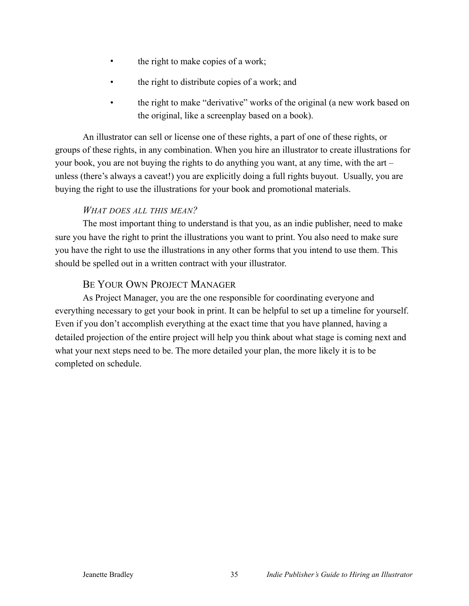- the right to make copies of a work;
- the right to distribute copies of a work; and
- the right to make "derivative" works of the original (a new work based on the original, like a screenplay based on a book).

An illustrator can sell or license one of these rights, a part of one of these rights, or groups of these rights, in any combination. When you hire an illustrator to create illustrations for your book, you are not buying the rights to do anything you want, at any time, with the art – unless (there's always a caveat!) you are explicitly doing a full rights buyout. Usually, you are buying the right to use the illustrations for your book and promotional materials.

# *WHAT DOES ALL THIS MEAN?*

The most important thing to understand is that you, as an indie publisher, need to make sure you have the right to print the illustrations you want to print. You also need to make sure you have the right to use the illustrations in any other forms that you intend to use them. This should be spelled out in a written contract with your illustrator.

# BE YOUR OWN PROJECT MANAGER

As Project Manager, you are the one responsible for coordinating everyone and everything necessary to get your book in print. It can be helpful to set up a timeline for yourself. Even if you don't accomplish everything at the exact time that you have planned, having a detailed projection of the entire project will help you think about what stage is coming next and what your next steps need to be. The more detailed your plan, the more likely it is to be completed on schedule.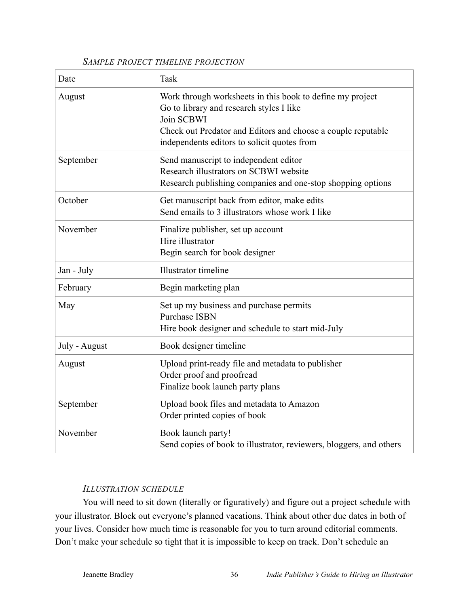#### *SAMPLE PROJECT TIMELINE PROJECTION*

| Date          | Task                                                                                                                                                                                                                               |
|---------------|------------------------------------------------------------------------------------------------------------------------------------------------------------------------------------------------------------------------------------|
| August        | Work through worksheets in this book to define my project<br>Go to library and research styles I like<br>Join SCBWI<br>Check out Predator and Editors and choose a couple reputable<br>independents editors to solicit quotes from |
| September     | Send manuscript to independent editor<br>Research illustrators on SCBWI website<br>Research publishing companies and one-stop shopping options                                                                                     |
| October       | Get manuscript back from editor, make edits<br>Send emails to 3 illustrators whose work I like                                                                                                                                     |
| November      | Finalize publisher, set up account<br>Hire illustrator<br>Begin search for book designer                                                                                                                                           |
| Jan - July    | Illustrator timeline                                                                                                                                                                                                               |
| February      | Begin marketing plan                                                                                                                                                                                                               |
| May           | Set up my business and purchase permits<br><b>Purchase ISBN</b><br>Hire book designer and schedule to start mid-July                                                                                                               |
| July - August | Book designer timeline                                                                                                                                                                                                             |
| August        | Upload print-ready file and metadata to publisher<br>Order proof and proofread<br>Finalize book launch party plans                                                                                                                 |
| September     | Upload book files and metadata to Amazon<br>Order printed copies of book                                                                                                                                                           |
| November      | Book launch party!<br>Send copies of book to illustrator, reviewers, bloggers, and others                                                                                                                                          |

# *ILLUSTRATION SCHEDULE*

You will need to sit down (literally or figuratively) and figure out a project schedule with your illustrator. Block out everyone's planned vacations. Think about other due dates in both of your lives. Consider how much time is reasonable for you to turn around editorial comments. Don't make your schedule so tight that it is impossible to keep on track. Don't schedule an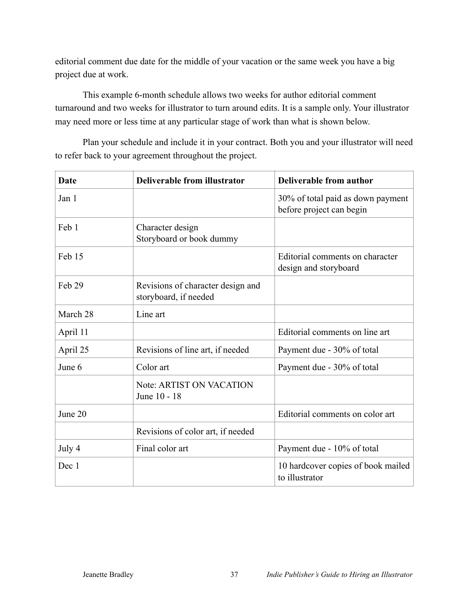editorial comment due date for the middle of your vacation or the same week you have a big project due at work.

This example 6-month schedule allows two weeks for author editorial comment turnaround and two weeks for illustrator to turn around edits. It is a sample only. Your illustrator may need more or less time at any particular stage of work than what is shown below.

Plan your schedule and include it in your contract. Both you and your illustrator will need to refer back to your agreement throughout the project.

| <b>Date</b> | <b>Deliverable from illustrator</b>                        | <b>Deliverable from author</b>                                |
|-------------|------------------------------------------------------------|---------------------------------------------------------------|
| Jan 1       |                                                            | 30% of total paid as down payment<br>before project can begin |
| Feb 1       | Character design<br>Storyboard or book dummy               |                                                               |
| Feb 15      |                                                            | Editorial comments on character<br>design and storyboard      |
| Feb 29      | Revisions of character design and<br>storyboard, if needed |                                                               |
| March 28    | Line art                                                   |                                                               |
| April 11    |                                                            | Editorial comments on line art                                |
| April 25    | Revisions of line art, if needed                           | Payment due - 30% of total                                    |
| June 6      | Color art                                                  | Payment due - 30% of total                                    |
|             | <b>Note: ARTIST ON VACATION</b><br>June 10 - 18            |                                                               |
| June 20     |                                                            | Editorial comments on color art                               |
|             | Revisions of color art, if needed                          |                                                               |
| July 4      | Final color art                                            | Payment due - 10% of total                                    |
| Dec 1       |                                                            | 10 hardcover copies of book mailed<br>to illustrator          |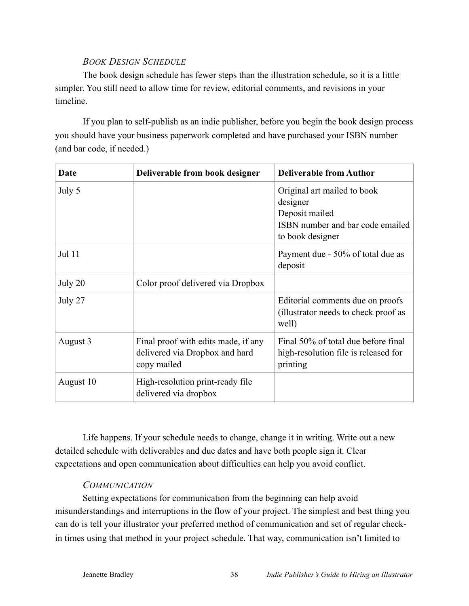# *BOOK DESIGN SCHEDULE*

The book design schedule has fewer steps than the illustration schedule, so it is a little simpler. You still need to allow time for review, editorial comments, and revisions in your timeline.

If you plan to self-publish as an indie publisher, before you begin the book design process you should have your business paperwork completed and have purchased your ISBN number (and bar code, if needed.)

| Date      | Deliverable from book designer                                                       | <b>Deliverable from Author</b>                                                                                    |
|-----------|--------------------------------------------------------------------------------------|-------------------------------------------------------------------------------------------------------------------|
| July 5    |                                                                                      | Original art mailed to book<br>designer<br>Deposit mailed<br>ISBN number and bar code emailed<br>to book designer |
| Jul 11    |                                                                                      | Payment due - 50% of total due as<br>deposit                                                                      |
| July 20   | Color proof delivered via Dropbox                                                    |                                                                                                                   |
| July 27   |                                                                                      | Editorial comments due on proofs<br>(illustrator needs to check proof as<br>well)                                 |
| August 3  | Final proof with edits made, if any<br>delivered via Dropbox and hard<br>copy mailed | Final 50% of total due before final<br>high-resolution file is released for<br>printing                           |
| August 10 | High-resolution print-ready file<br>delivered via dropbox                            |                                                                                                                   |

Life happens. If your schedule needs to change, change it in writing. Write out a new detailed schedule with deliverables and due dates and have both people sign it. Clear expectations and open communication about difficulties can help you avoid conflict.

# *COMMUNICATION*

Setting expectations for communication from the beginning can help avoid misunderstandings and interruptions in the flow of your project. The simplest and best thing you can do is tell your illustrator your preferred method of communication and set of regular checkin times using that method in your project schedule. That way, communication isn't limited to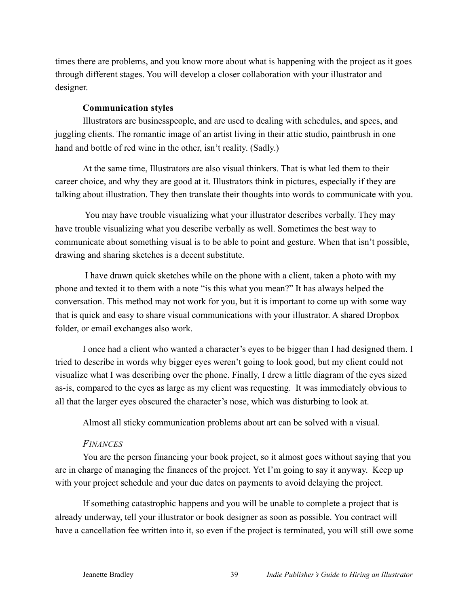times there are problems, and you know more about what is happening with the project as it goes through different stages. You will develop a closer collaboration with your illustrator and designer.

#### **Communication styles**

Illustrators are businesspeople, and are used to dealing with schedules, and specs, and juggling clients. The romantic image of an artist living in their attic studio, paintbrush in one hand and bottle of red wine in the other, isn't reality. (Sadly.)

At the same time, Illustrators are also visual thinkers. That is what led them to their career choice, and why they are good at it. Illustrators think in pictures, especially if they are talking about illustration. They then translate their thoughts into words to communicate with you.

 You may have trouble visualizing what your illustrator describes verbally. They may have trouble visualizing what you describe verbally as well. Sometimes the best way to communicate about something visual is to be able to point and gesture. When that isn't possible, drawing and sharing sketches is a decent substitute.

 I have drawn quick sketches while on the phone with a client, taken a photo with my phone and texted it to them with a note "is this what you mean?" It has always helped the conversation. This method may not work for you, but it is important to come up with some way that is quick and easy to share visual communications with your illustrator. A shared Dropbox folder, or email exchanges also work.

I once had a client who wanted a character's eyes to be bigger than I had designed them. I tried to describe in words why bigger eyes weren't going to look good, but my client could not visualize what I was describing over the phone. Finally, I drew a little diagram of the eyes sized as-is, compared to the eyes as large as my client was requesting. It was immediately obvious to all that the larger eyes obscured the character's nose, which was disturbing to look at.

Almost all sticky communication problems about art can be solved with a visual.

#### *FINANCES*

You are the person financing your book project, so it almost goes without saying that you are in charge of managing the finances of the project. Yet I'm going to say it anyway. Keep up with your project schedule and your due dates on payments to avoid delaying the project.

If something catastrophic happens and you will be unable to complete a project that is already underway, tell your illustrator or book designer as soon as possible. You contract will have a cancellation fee written into it, so even if the project is terminated, you will still owe some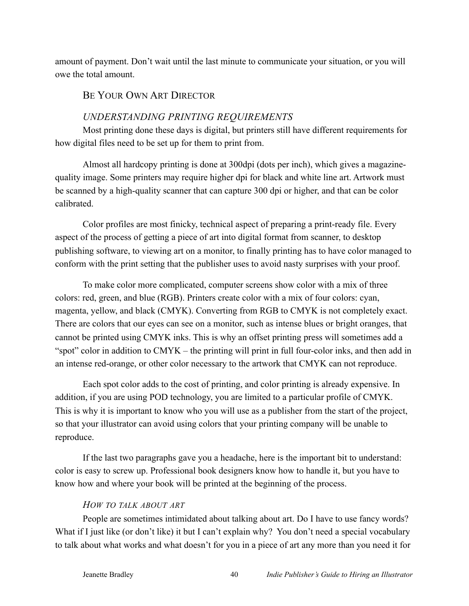amount of payment. Don't wait until the last minute to communicate your situation, or you will owe the total amount.

#### BE YOUR OWN ART DIRECTOR

# *UNDERSTANDING PRINTING REQUIREMENTS*

Most printing done these days is digital, but printers still have different requirements for how digital files need to be set up for them to print from.

Almost all hardcopy printing is done at 300dpi (dots per inch), which gives a magazinequality image. Some printers may require higher dpi for black and white line art. Artwork must be scanned by a high-quality scanner that can capture 300 dpi or higher, and that can be color calibrated.

Color profiles are most finicky, technical aspect of preparing a print-ready file. Every aspect of the process of getting a piece of art into digital format from scanner, to desktop publishing software, to viewing art on a monitor, to finally printing has to have color managed to conform with the print setting that the publisher uses to avoid nasty surprises with your proof.

To make color more complicated, computer screens show color with a mix of three colors: red, green, and blue (RGB). Printers create color with a mix of four colors: cyan, magenta, yellow, and black (CMYK). Converting from RGB to CMYK is not completely exact. There are colors that our eyes can see on a monitor, such as intense blues or bright oranges, that cannot be printed using CMYK inks. This is why an offset printing press will sometimes add a "spot" color in addition to CMYK – the printing will print in full four-color inks, and then add in an intense red-orange, or other color necessary to the artwork that CMYK can not reproduce.

Each spot color adds to the cost of printing, and color printing is already expensive. In addition, if you are using POD technology, you are limited to a particular profile of CMYK. This is why it is important to know who you will use as a publisher from the start of the project, so that your illustrator can avoid using colors that your printing company will be unable to reproduce.

If the last two paragraphs gave you a headache, here is the important bit to understand: color is easy to screw up. Professional book designers know how to handle it, but you have to know how and where your book will be printed at the beginning of the process.

#### *HOW TO TALK ABOUT ART*

People are sometimes intimidated about talking about art. Do I have to use fancy words? What if I just like (or don't like) it but I can't explain why? You don't need a special vocabulary to talk about what works and what doesn't for you in a piece of art any more than you need it for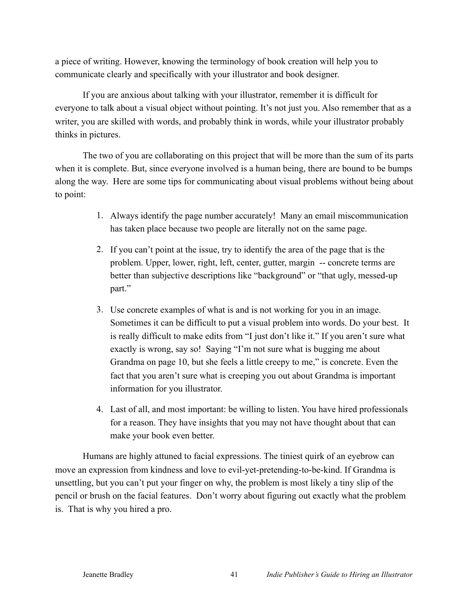a piece of writing. However, knowing the terminology of book creation will help you to communicate clearly and specifically with your illustrator and book designer.

If you are anxious about talking with your illustrator, remember it is difficult for everyone to talk about a visual object without pointing. It's not just you. Also remember that as a writer, you are skilled with words, and probably think in words, while your illustrator probably thinks in pictures.

The two of you are collaborating on this project that will be more than the sum of its parts when it is complete. But, since everyone involved is a human being, there are bound to be bumps along the way. Here are some tips for communicating about visual problems without being about to point:

- 1. Always identify the page number accurately! Many an email miscommunication has taken place because two people are literally not on the same page.
- 2. If you can't point at the issue, try to identify the area of the page that is the problem. Upper, lower, right, left, center, gutter, margin -- concrete terms are better than subjective descriptions like "background" or "that ugly, messed-up part."
- 3. Use concrete examples of what is and is not working for you in an image. Sometimes it can be difficult to put a visual problem into words. Do your best. It is really difficult to make edits from "I just don't like it." If you aren't sure what exactly is wrong, say so! Saying "I'm not sure what is bugging me about Grandma on page 10, but she feels a little creepy to me," is concrete. Even the fact that you aren't sure what is creeping you out about Grandma is important information for you illustrator.
- 4. Last of all, and most important: be willing to listen. You have hired professionals for a reason. They have insights that you may not have thought about that can make your book even better.

Humans are highly attuned to facial expressions. The tiniest quirk of an eyebrow can move an expression from kindness and love to evil-yet-pretending-to-be-kind. If Grandma is unsettling, but you can't put your finger on why, the problem is most likely a tiny slip of the pencil or brush on the facial features. Don't worry about figuring out exactly what the problem is. That is why you hired a pro.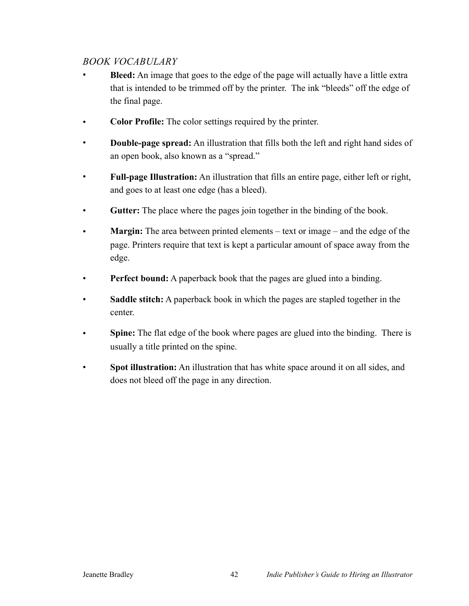# *BOOK VOCABULARY*

- **Bleed:** An image that goes to the edge of the page will actually have a little extra that is intended to be trimmed off by the printer. The ink "bleeds" off the edge of the final page.
- **Color Profile:** The color settings required by the printer.
- **Double-page spread:** An illustration that fills both the left and right hand sides of an open book, also known as a "spread."
- **Full-page Illustration:** An illustration that fills an entire page, either left or right, and goes to at least one edge (has a bleed).
- **Gutter:** The place where the pages join together in the binding of the book.
- **Margin:** The area between printed elements text or image and the edge of the page. Printers require that text is kept a particular amount of space away from the edge.
- **Perfect bound:** A paperback book that the pages are glued into a binding.
- Saddle stitch: A paperback book in which the pages are stapled together in the center.
- **Spine:** The flat edge of the book where pages are glued into the binding. There is usually a title printed on the spine.
- **Spot illustration:** An illustration that has white space around it on all sides, and does not bleed off the page in any direction.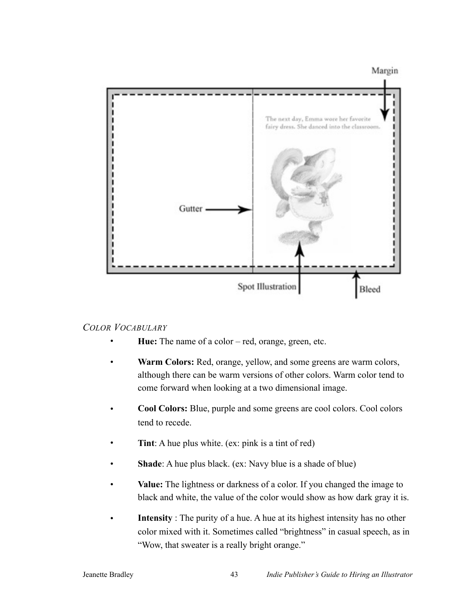Margin



#### *COLOR VOCABULARY*

- **Hue:** The name of a color red, orange, green, etc.
- **Warm Colors:** Red, orange, yellow, and some greens are warm colors, although there can be warm versions of other colors. Warm color tend to come forward when looking at a two dimensional image.
- **Cool Colors:** Blue, purple and some greens are cool colors. Cool colors tend to recede.
- **Tint**: A hue plus white. (ex: pink is a tint of red)
- **Shade**: A hue plus black. (ex: Navy blue is a shade of blue)
- **Value:** The lightness or darkness of a color. If you changed the image to black and white, the value of the color would show as how dark gray it is.
- **Intensity**: The purity of a hue. A hue at its highest intensity has no other color mixed with it. Sometimes called "brightness" in casual speech, as in "Wow, that sweater is a really bright orange."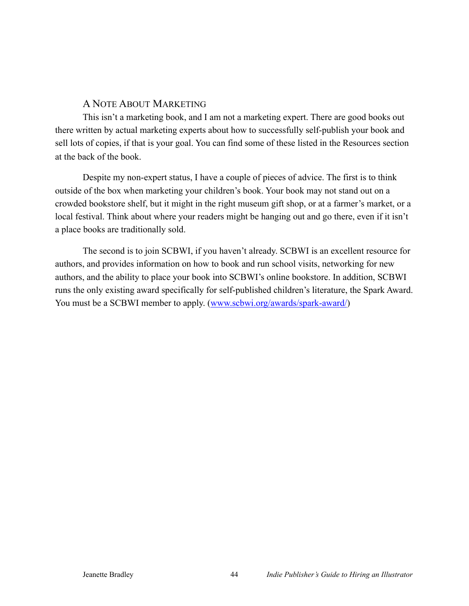## A NOTE ABOUT MARKETING

This isn't a marketing book, and I am not a marketing expert. There are good books out there written by actual marketing experts about how to successfully self-publish your book and sell lots of copies, if that is your goal. You can find some of these listed in the Resources section at the back of the book.

Despite my non-expert status, I have a couple of pieces of advice. The first is to think outside of the box when marketing your children's book. Your book may not stand out on a crowded bookstore shelf, but it might in the right museum gift shop, or at a farmer's market, or a local festival. Think about where your readers might be hanging out and go there, even if it isn't a place books are traditionally sold.

The second is to join SCBWI, if you haven't already. SCBWI is an excellent resource for authors, and provides information on how to book and run school visits, networking for new authors, and the ability to place your book into SCBWI's online bookstore. In addition, SCBWI runs the only existing award specifically for self-published children's literature, the Spark Award. You must be a SCBWI member to apply. ([www.scbwi.org/awards/spark-award/](http://www.scbwi.org/awards/spark-award/))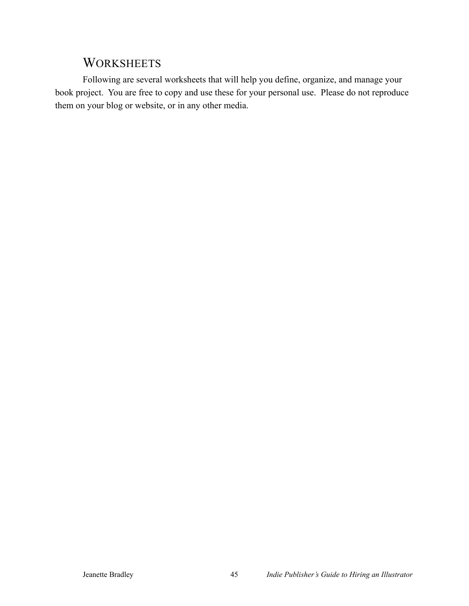# **WORKSHEETS**

Following are several worksheets that will help you define, organize, and manage your book project. You are free to copy and use these for your personal use. Please do not reproduce them on your blog or website, or in any other media.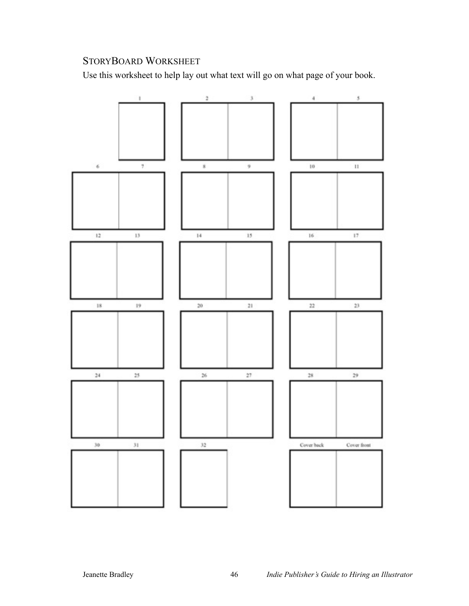# STORYBOARD WORKSHEET

Use this worksheet to help lay out what text will go on what page of your book.

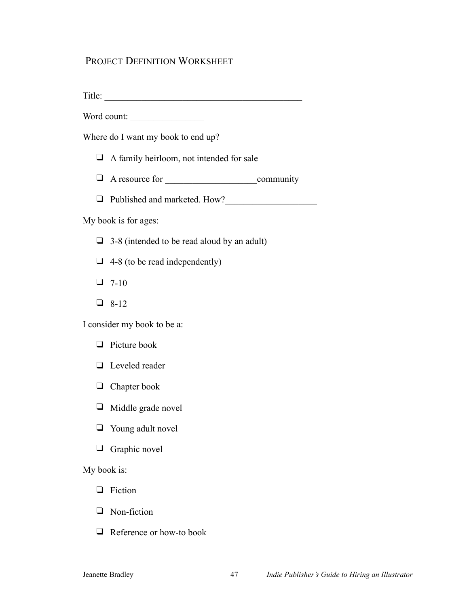# PROJECT DEFINITION WORKSHEET

Title: \_\_\_\_\_\_\_\_\_\_\_\_\_\_\_\_\_\_\_\_\_\_\_\_\_\_\_\_\_\_\_\_\_\_\_\_\_\_\_\_\_\_\_

Word count:

Where do I want my book to end up?

- ❑ A family heirloom, not intended for sale
- ❑ A resource for \_\_\_\_\_\_\_\_\_\_\_\_\_\_\_\_\_\_\_\_community
- ❑ Published and marketed. How?\_\_\_\_\_\_\_\_\_\_\_\_\_\_\_\_\_\_\_\_

#### My book is for ages:

- $\Box$  3-8 (intended to be read aloud by an adult)
- $\Box$  4-8 (to be read independently)
- $\Box$  7-10
- ❑ 8-12

I consider my book to be a:

- ❑ Picture book
- ❑ Leveled reader
- ❑ Chapter book
- ❑ Middle grade novel
- ❑ Young adult novel
- ❑ Graphic novel

My book is:

- ❑ Fiction
- ❑ Non-fiction
- ❑ Reference or how-to book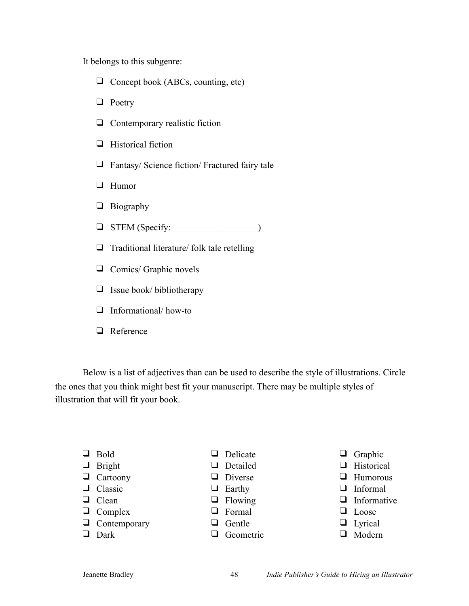It belongs to this subgenre:

- ❑ Concept book (ABCs, counting, etc)
- ❑ Poetry
- ❑ Contemporary realistic fiction
- ❑ Historical fiction
- ❑ Fantasy/ Science fiction/ Fractured fairy tale
- ❑ Humor
- ❑ Biography
- $\Box$  STEM (Specify:  $\Box$ )
- ❑ Traditional literature/ folk tale retelling
- ❑ Comics/ Graphic novels
- ❑ Issue book/ bibliotherapy
- ❑ Informational/ how-to
- ❑ Reference

Below is a list of adjectives than can be used to describe the style of illustrations. Circle the ones that you think might best fit your manuscript. There may be multiple styles of illustration that will fit your book.

- ❑ Bold
- ❑ Bright
- ❑ Cartoony
- ❑ Classic
- ❑ Clean
- ❑ Complex
- ❑ Contemporary
- ❑ Dark
- ❑ Delicate
- ❑ Detailed
- ❑ Diverse
- ❑ Earthy
- ❑ Flowing
- ❑ Formal
- ❑ Gentle
- ❑ Geometric
- ❑ Graphic
- ❑ Historical
- ❑ Humorous
- ❑ Informal
- ❑ Informative
- ❑ Loose
- ❑ Lyrical
- ❑ Modern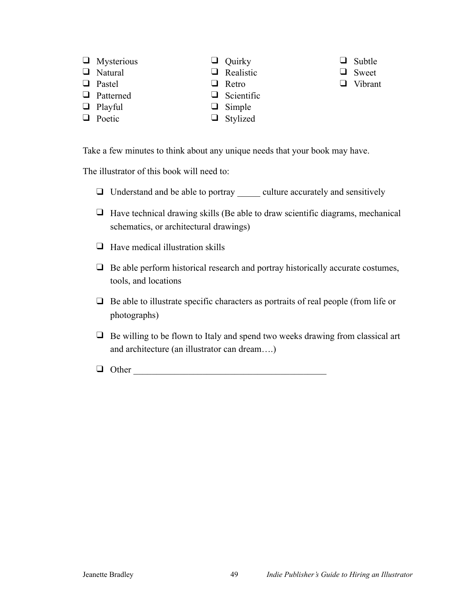- ❑ Mysterious
- ❑ Natural
- ❑ Pastel
- ❑ Patterned
- ❑ Playful
- ❑ Poetic

❑ Quirky ❑ Realistic

❑ Retro ❑ Scientific ❑ Simple ❑ Stylized

- ❑ Subtle
- ❑ Sweet
- ❑ Vibrant
- Take a few minutes to think about any unique needs that your book may have.

The illustrator of this book will need to:

- ❑ Understand and be able to portray \_\_\_\_\_ culture accurately and sensitively
- $\Box$  Have technical drawing skills (Be able to draw scientific diagrams, mechanical schematics, or architectural drawings)
- $\Box$  Have medical illustration skills
- $\Box$  Be able perform historical research and portray historically accurate costumes, tools, and locations
- $\Box$  Be able to illustrate specific characters as portraits of real people (from life or photographs)
- ❑ Be willing to be flown to Italy and spend two weeks drawing from classical art and architecture (an illustrator can dream….)
- $\Box$  Other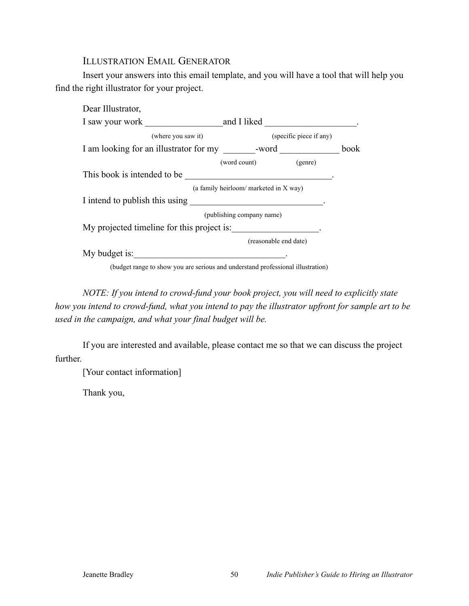#### ILLUSTRATION EMAIL GENERATOR

Insert your answers into this email template, and you will have a tool that will help you find the right illustrator for your project.

| Dear Illustrator,                                                                |                                                                                                                       |                         |
|----------------------------------------------------------------------------------|-----------------------------------------------------------------------------------------------------------------------|-------------------------|
| I saw your work                                                                  |                                                                                                                       | and I liked             |
| (where you saw it)                                                               |                                                                                                                       | (specific piece if any) |
| I am looking for an illustrator for my _________-word __________________________ |                                                                                                                       | book                    |
|                                                                                  | (word count)                                                                                                          | (genre)                 |
| This book is intended to be                                                      |                                                                                                                       |                         |
|                                                                                  | (a family heirloom/ marketed in X way)                                                                                |                         |
| I intend to publish this using                                                   | <u> 1989 - Johann Harry Harry Harry Harry Harry Harry Harry Harry Harry Harry Harry Harry Harry Harry Harry Harry</u> |                         |
|                                                                                  | (publishing company name)                                                                                             |                         |
| My projected timeline for this project is:                                       |                                                                                                                       |                         |
|                                                                                  |                                                                                                                       | (reasonable end date)   |
| My budget is:                                                                    |                                                                                                                       |                         |

(budget range to show you are serious and understand professional illustration)

*NOTE: If you intend to crowd-fund your book project, you will need to explicitly state how you intend to crowd-fund, what you intend to pay the illustrator upfront for sample art to be used in the campaign, and what your final budget will be.* 

If you are interested and available, please contact me so that we can discuss the project further.

[Your contact information]

Thank you,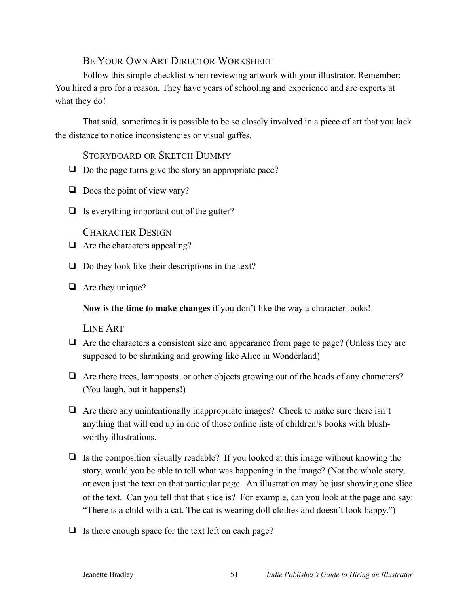# BE YOUR OWN ART DIRECTOR WORKSHEET

Follow this simple checklist when reviewing artwork with your illustrator. Remember: You hired a pro for a reason. They have years of schooling and experience and are experts at what they do!

That said, sometimes it is possible to be so closely involved in a piece of art that you lack the distance to notice inconsistencies or visual gaffes.

## STORYBOARD OR SKETCH DUMMY

- $\Box$  Do the page turns give the story an appropriate pace?
- $\Box$  Does the point of view vary?
- $\Box$  Is everything important out of the gutter?

#### CHARACTER DESIGN

- $\Box$  Are the characters appealing?
- $\Box$  Do they look like their descriptions in the text?
- ❑ Are they unique?

**Now is the time to make changes** if you don't like the way a character looks!

#### LINE ART

- ❑ Are the characters a consistent size and appearance from page to page? (Unless they are supposed to be shrinking and growing like Alice in Wonderland)
- $\Box$  Are there trees, lampposts, or other objects growing out of the heads of any characters? (You laugh, but it happens!)
- $\Box$  Are there any unintentionally inappropriate images? Check to make sure there isn't anything that will end up in one of those online lists of children's books with blushworthy illustrations.
- $\Box$  Is the composition visually readable? If you looked at this image without knowing the story, would you be able to tell what was happening in the image? (Not the whole story, or even just the text on that particular page. An illustration may be just showing one slice of the text. Can you tell that that slice is? For example, can you look at the page and say: "There is a child with a cat. The cat is wearing doll clothes and doesn't look happy.")
- $\Box$  Is there enough space for the text left on each page?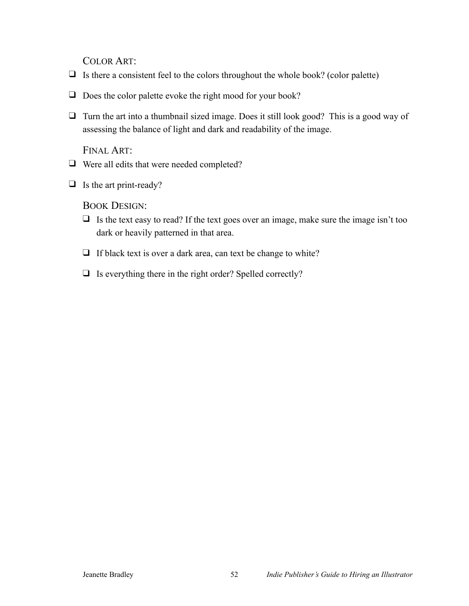COLOR ART:

- $\Box$  Is there a consistent feel to the colors throughout the whole book? (color palette)
- ❑ Does the color palette evoke the right mood for your book?
- ❑ Turn the art into a thumbnail sized image. Does it still look good? This is a good way of assessing the balance of light and dark and readability of the image.

FINAL ART:

- ❑ Were all edits that were needed completed?
- ❑ Is the art print-ready?

BOOK DESIGN:

- $\Box$  Is the text easy to read? If the text goes over an image, make sure the image isn't too dark or heavily patterned in that area.
- ❑ If black text is over a dark area, can text be change to white?
- ❑ Is everything there in the right order? Spelled correctly?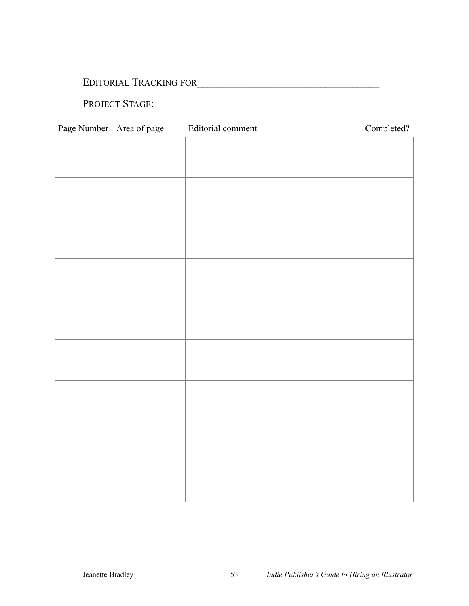# EDITORIAL TRACKING FOR\_\_\_\_\_\_\_\_\_\_\_\_\_\_\_\_\_\_\_\_\_\_\_\_\_\_\_\_\_\_\_\_\_\_

# PROJECT STAGE: \_\_\_\_\_\_\_\_\_\_\_\_\_\_\_\_\_\_\_\_\_\_\_\_\_\_\_\_\_\_\_\_\_\_\_

| Page Number Area of page | Editorial comment | Completed? |
|--------------------------|-------------------|------------|
|                          |                   |            |
|                          |                   |            |
|                          |                   |            |
|                          |                   |            |
|                          |                   |            |
|                          |                   |            |
|                          |                   |            |
|                          |                   |            |
|                          |                   |            |
|                          |                   |            |
|                          |                   |            |
|                          |                   |            |
|                          |                   |            |
|                          |                   |            |
|                          |                   |            |
|                          |                   |            |
|                          |                   |            |
|                          |                   |            |
|                          |                   |            |
|                          |                   |            |
|                          |                   |            |
|                          |                   |            |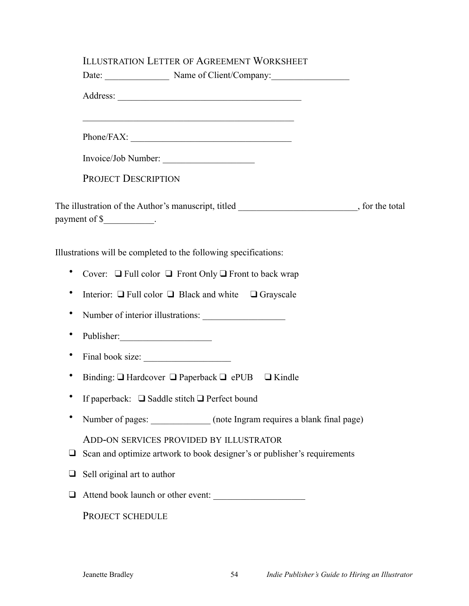|           | Date: Name of Client/Company:                                                                                       |
|-----------|---------------------------------------------------------------------------------------------------------------------|
|           |                                                                                                                     |
|           |                                                                                                                     |
|           |                                                                                                                     |
|           | Invoice/Job Number:                                                                                                 |
|           | PROJECT DESCRIPTION                                                                                                 |
|           | The illustration of the Author's manuscript, titled _______________________, for the total<br>payment of \$         |
|           | Illustrations will be completed to the following specifications:                                                    |
| ٠         | Cover: $\Box$ Full color $\Box$ Front Only $\Box$ Front to back wrap                                                |
| ٠         | Interior: $\Box$ Full color $\Box$ Black and white $\Box$ Grayscale                                                 |
| ٠         | Number of interior illustrations:                                                                                   |
| $\bullet$ | Publisher:                                                                                                          |
| ٠         | Final book size:                                                                                                    |
| $\bullet$ | Binding: $\Box$ Hardcover $\Box$ Paperback $\Box$ ePUB $\Box$ Kindle                                                |
|           | If paperback: $\Box$ Saddle stitch $\Box$ Perfect bound                                                             |
| ٠         | Number of pages: _____________ (note Ingram requires a blank final page)                                            |
|           | ADD-ON SERVICES PROVIDED BY ILLUSTRATOR<br>Scan and optimize artwork to book designer's or publisher's requirements |
|           | Sell original art to author                                                                                         |
|           | Attend book launch or other event:                                                                                  |
|           | PROJECT SCHEDULE                                                                                                    |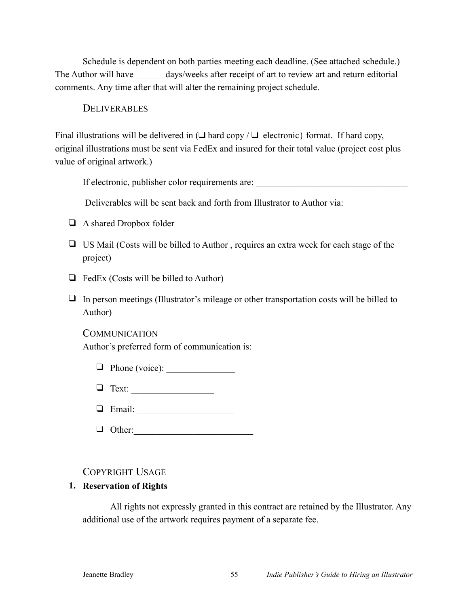Schedule is dependent on both parties meeting each deadline. (See attached schedule.) The Author will have days/weeks after receipt of art to review art and return editorial comments. Any time after that will alter the remaining project schedule.

#### **DELIVERABLES**

Final illustrations will be delivered in  $\Box$  hard copy  $\Box$  electronic format. If hard copy, original illustrations must be sent via FedEx and insured for their total value (project cost plus value of original artwork.)

If electronic, publisher color requirements are: \_\_\_\_\_\_\_\_\_\_\_\_\_\_\_\_\_\_\_\_\_\_\_\_\_\_\_\_\_\_\_

Deliverables will be sent back and forth from Illustrator to Author via:

- ❑ A shared Dropbox folder
- ❑ US Mail (Costs will be billed to Author , requires an extra week for each stage of the project)
- $\Box$  FedEx (Costs will be billed to Author)
- ❑ In person meetings (Illustrator's mileage or other transportation costs will be billed to Author)

#### **COMMUNICATION**

Author's preferred form of communication is:

|  |  | $\Box$ Phone (voice): |  |
|--|--|-----------------------|--|
|--|--|-----------------------|--|

❑ Text: \_\_\_\_\_\_\_\_\_\_\_\_\_\_\_\_\_\_

| .,<br>' '<br>معتقل الت |  |
|------------------------|--|
|------------------------|--|

#### COPYRIGHT USAGE

#### **1. Reservation of Rights**

All rights not expressly granted in this contract are retained by the Illustrator. Any additional use of the artwork requires payment of a separate fee.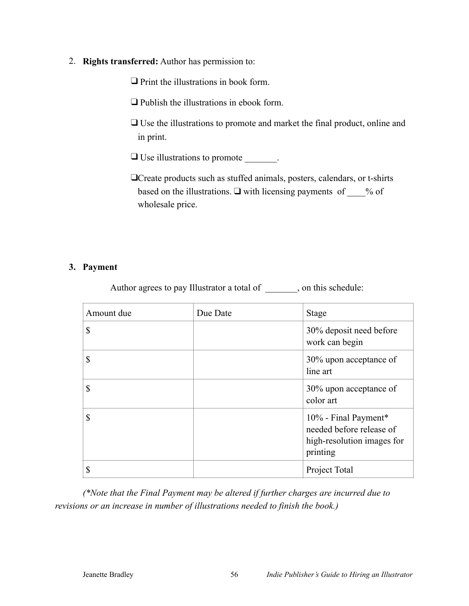2. **Rights transferred:** Author has permission to:

❑ Print the illustrations in book form.

❑ Publish the illustrations in ebook form.

❑ Use the illustrations to promote and market the final product, online and in print.

❑ Use illustrations to promote \_\_\_\_\_\_\_.

❑Create products such as stuffed animals, posters, calendars, or t-shirts based on the illustrations. ❑ with licensing payments of \_\_\_\_% of wholesale price.

#### **3. Payment**

Author agrees to pay Illustrator a total of \_\_\_\_\_\_, on this schedule:

| Amount due    | Due Date | <b>Stage</b>                                                                               |
|---------------|----------|--------------------------------------------------------------------------------------------|
| $\mathbb{S}$  |          | 30% deposit need before<br>work can begin                                                  |
| \$            |          | 30% upon acceptance of<br>line art                                                         |
| $\mathbb{S}$  |          | 30% upon acceptance of<br>color art                                                        |
| $\mathcal{S}$ |          | 10% - Final Payment*<br>needed before release of<br>high-resolution images for<br>printing |
| \$            |          | Project Total                                                                              |

*(\*Note that the Final Payment may be altered if further charges are incurred due to revisions or an increase in number of illustrations needed to finish the book.)*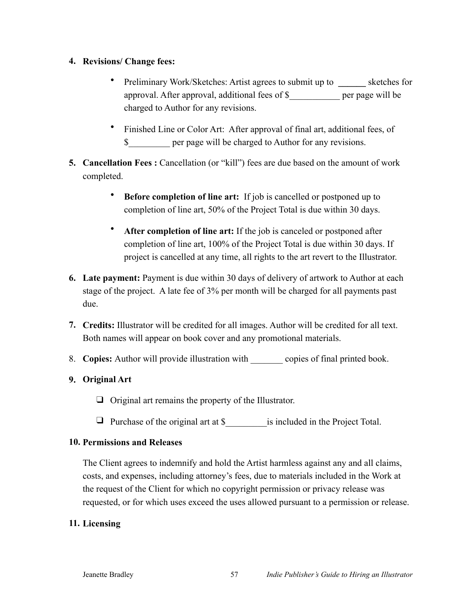#### **4. Revisions/ Change fees:**

- Preliminary Work/Sketches: Artist agrees to submit up to sketches for approval. After approval, additional fees of \$\_\_\_\_\_\_\_\_\_\_\_ per page will be charged to Author for any revisions.
- Finished Line or Color Art: After approval of final art, additional fees, of \$ per page will be charged to Author for any revisions.
- **5. Cancellation Fees**: Cancellation (or "kill") fees are due based on the amount of work completed.
	- **Before completion of line art:** If job is cancelled or postponed up to completion of line art, 50% of the Project Total is due within 30 days.
	- **After completion of line art:** If the job is canceled or postponed after completion of line art, 100% of the Project Total is due within 30 days. If project is cancelled at any time, all rights to the art revert to the Illustrator.
- **6. Late payment:** Payment is due within 30 days of delivery of artwork to Author at each stage of the project. A late fee of 3% per month will be charged for all payments past due.
- **7. Credits:** Illustrator will be credited for all images. Author will be credited for all text. Both names will appear on book cover and any promotional materials.
- 8. **Copies:** Author will provide illustration with copies of final printed book.

#### **9. Original Art**

- ❑ Original art remains the property of the Illustrator.
- □ Purchase of the original art at \$ is included in the Project Total.

#### **10. Permissions and Releases**

The Client agrees to indemnify and hold the Artist harmless against any and all claims, costs, and expenses, including attorney's fees, due to materials included in the Work at the request of the Client for which no copyright permission or privacy release was requested, or for which uses exceed the uses allowed pursuant to a permission or release.

#### **11. Licensing**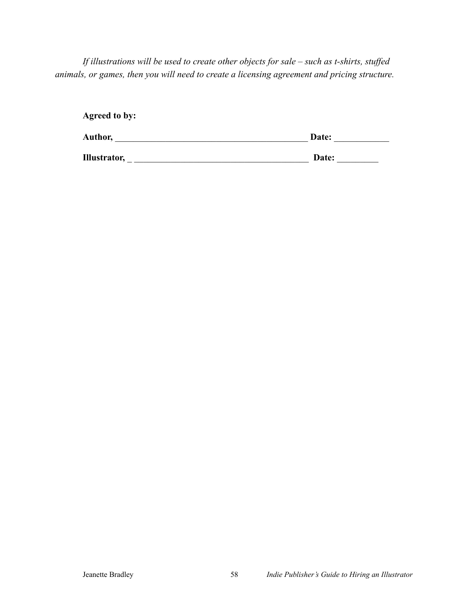*If illustrations will be used to create other objects for sale – such as t-shirts, stuffed animals, or games, then you will need to create a licensing agreement and pricing structure.* 

| <b>Agreed to by:</b> |       |
|----------------------|-------|
| Author,              | Date: |
| Illustrator,         | Date: |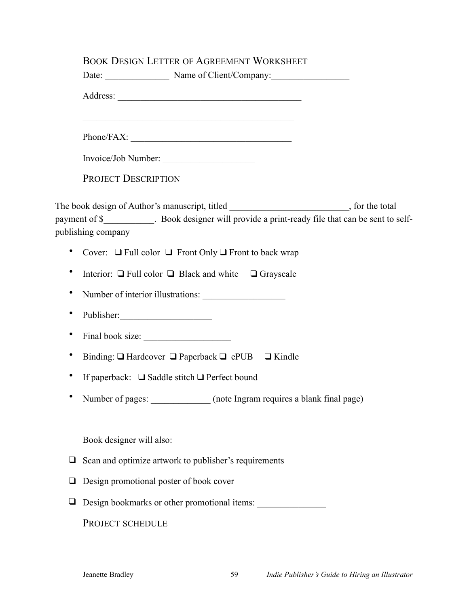# BOOK DESIGN LETTER OF AGREEMENT WORKSHEET

|           | BOOK DESIGN LETTER OF AGREEMENT WORKSHEET<br>Date: Name of Client/Company:                                                                                                                                         |  |
|-----------|--------------------------------------------------------------------------------------------------------------------------------------------------------------------------------------------------------------------|--|
|           |                                                                                                                                                                                                                    |  |
|           | <u> 1989 - Johann John Harry Harry Harry Harry Harry Harry Harry Harry Harry Harry Harry Harry Harry Harry Harry</u><br>Phone/FAX:                                                                                 |  |
|           | Invoice/Job Number:                                                                                                                                                                                                |  |
|           | <b>PROJECT DESCRIPTION</b>                                                                                                                                                                                         |  |
|           | The book design of Author's manuscript, titled ________________________, for the total<br>payment of \$____________. Book designer will provide a print-ready file that can be sent to self-<br>publishing company |  |
|           | Cover: $\Box$ Full color $\Box$ Front Only $\Box$ Front to back wrap                                                                                                                                               |  |
|           | Interior: $\Box$ Full color $\Box$ Black and white $\Box$ Grayscale                                                                                                                                                |  |
|           | Number of interior illustrations:                                                                                                                                                                                  |  |
|           | Publisher:                                                                                                                                                                                                         |  |
|           |                                                                                                                                                                                                                    |  |
| $\bullet$ | Binding: $\Box$ Hardcover $\Box$ Paperback $\Box$ ePUB $\Box$ Kindle                                                                                                                                               |  |
| ٠         | If paperback: $\Box$ Saddle stitch $\Box$ Perfect bound                                                                                                                                                            |  |
|           | Number of pages:<br>(note Ingram requires a blank final page)                                                                                                                                                      |  |
|           | Book designer will also:                                                                                                                                                                                           |  |
| ⊔         | Scan and optimize artwork to publisher's requirements                                                                                                                                                              |  |
|           | Design promotional poster of book cover                                                                                                                                                                            |  |
| u         | Design bookmarks or other promotional items:                                                                                                                                                                       |  |
|           | PROJECT SCHEDULE                                                                                                                                                                                                   |  |
|           |                                                                                                                                                                                                                    |  |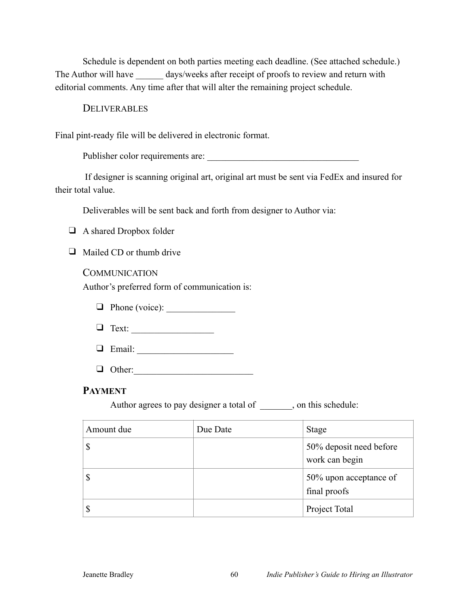Schedule is dependent on both parties meeting each deadline. (See attached schedule.) The Author will have \_\_\_\_\_\_\_ days/weeks after receipt of proofs to review and return with editorial comments. Any time after that will alter the remaining project schedule.

#### **DELIVERABLES**

Final pint-ready file will be delivered in electronic format.

Publisher color requirements are:

 If designer is scanning original art, original art must be sent via FedEx and insured for their total value.

Deliverables will be sent back and forth from designer to Author via:

❑ A shared Dropbox folder

❑ Mailed CD or thumb drive

#### COMMUNICATION

Author's preferred form of communication is:

- $\Box$  Phone (voice):
- ❑ Text: \_\_\_\_\_\_\_\_\_\_\_\_\_\_\_\_\_\_
- $\Box$  Email:
- $\Box$  Other:

#### **PAYMENT**

Author agrees to pay designer a total of \_\_\_\_\_\_\_, on this schedule:

| Amount due | Due Date | <b>Stage</b>                              |
|------------|----------|-------------------------------------------|
|            |          | 50% deposit need before<br>work can begin |
|            |          | 50% upon acceptance of<br>final proofs    |
|            |          | Project Total                             |